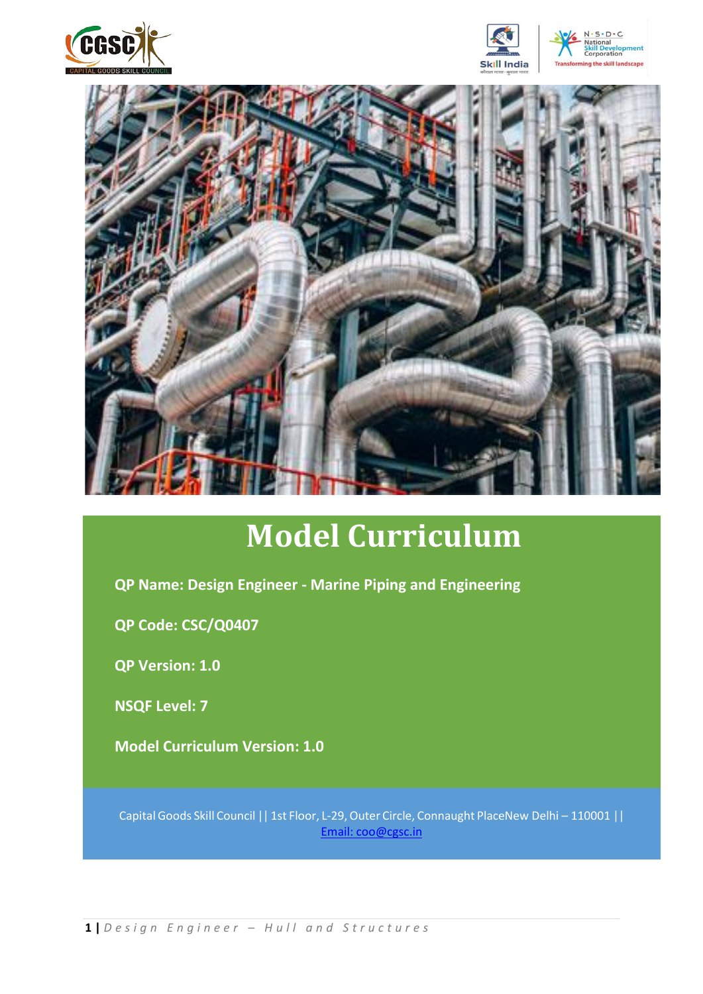







# **Model Curriculum**

**QP Name: Design Engineer - Marine Piping and Engineering**

**QP Code: CSC/Q0407**

**QP Version: 1.0**

**NSQF Level: 7**

**Model Curriculum Version: 1.0**

Capital Goods Skill Council || 1st Floor, L-29,Outer Circle, Connaught PlaceNew Delhi – 110001 || [Email: coo@cgsc.in](mailto:Email:%20coo@cgsc.in)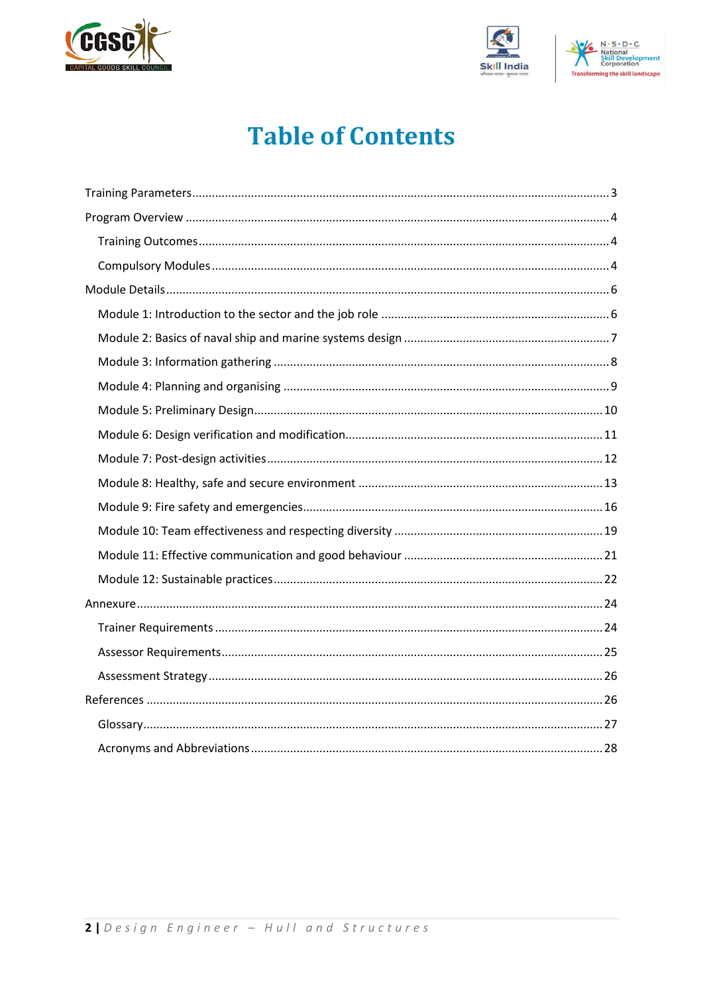





## **Table of Contents**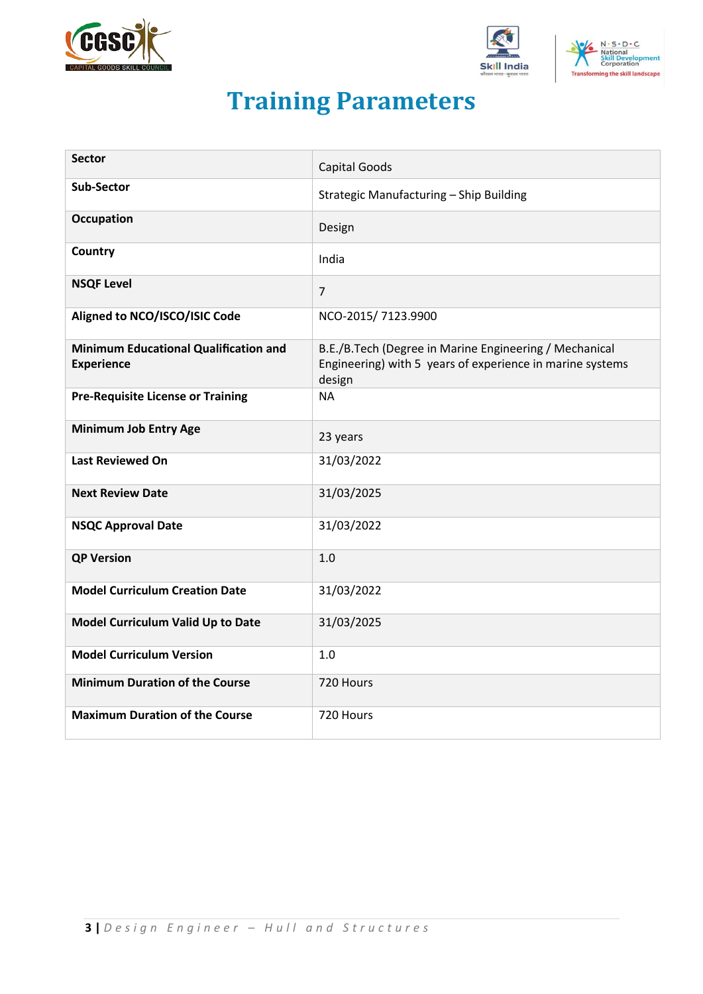





## **Training Parameters**

<span id="page-2-0"></span>

| <b>Sector</b>                                                     |                                                                                                                               |
|-------------------------------------------------------------------|-------------------------------------------------------------------------------------------------------------------------------|
|                                                                   | <b>Capital Goods</b>                                                                                                          |
| <b>Sub-Sector</b>                                                 | Strategic Manufacturing - Ship Building                                                                                       |
| <b>Occupation</b>                                                 | Design                                                                                                                        |
| Country                                                           | India                                                                                                                         |
| <b>NSQF Level</b>                                                 | $\overline{7}$                                                                                                                |
| Aligned to NCO/ISCO/ISIC Code                                     | NCO-2015/7123.9900                                                                                                            |
| <b>Minimum Educational Qualification and</b><br><b>Experience</b> | B.E./B.Tech (Degree in Marine Engineering / Mechanical<br>Engineering) with 5 years of experience in marine systems<br>design |
| <b>Pre-Requisite License or Training</b>                          | <b>NA</b>                                                                                                                     |
| <b>Minimum Job Entry Age</b>                                      | 23 years                                                                                                                      |
| <b>Last Reviewed On</b>                                           | 31/03/2022                                                                                                                    |
| <b>Next Review Date</b>                                           | 31/03/2025                                                                                                                    |
| <b>NSQC Approval Date</b>                                         | 31/03/2022                                                                                                                    |
| <b>QP Version</b>                                                 | 1.0                                                                                                                           |
| <b>Model Curriculum Creation Date</b>                             | 31/03/2022                                                                                                                    |
| Model Curriculum Valid Up to Date                                 | 31/03/2025                                                                                                                    |
| <b>Model Curriculum Version</b>                                   | 1.0                                                                                                                           |
| <b>Minimum Duration of the Course</b>                             | 720 Hours                                                                                                                     |
| <b>Maximum Duration of the Course</b>                             | 720 Hours                                                                                                                     |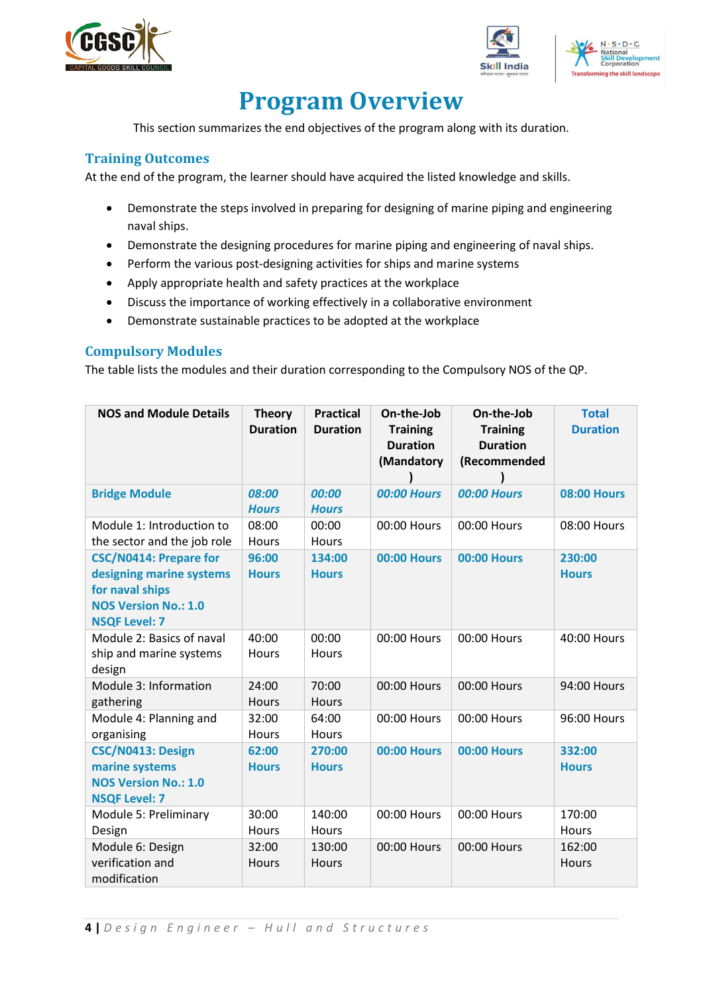





## **Program Overview**

<span id="page-3-0"></span>This section summarizes the end objectives of the program along with its duration.

#### <span id="page-3-1"></span>**Training Outcomes**

At the end of the program, the learner should have acquired the listed knowledge and skills.

- Demonstrate the steps involved in preparing for designing of marine piping and engineering naval ships.
- Demonstrate the designing procedures for marine piping and engineering of naval ships.
- Perform the various post-designing activities for ships and marine systems
- Apply appropriate health and safety practices at the workplace
- Discuss the importance of working effectively in a collaborative environment
- Demonstrate sustainable practices to be adopted at the workplace

#### <span id="page-3-2"></span>**Compulsory Modules**

The table lists the modules and their duration corresponding to the Compulsory NOS of the QP.

| <b>NOS and Module Details</b>                                                                                                       | <b>Theory</b><br><b>Duration</b> | <b>Practical</b><br><b>Duration</b> | On-the-Job<br><b>Training</b><br><b>Duration</b><br>(Mandatory | On-the-Job<br><b>Training</b><br><b>Duration</b><br>(Recommended | <b>Total</b><br><b>Duration</b> |
|-------------------------------------------------------------------------------------------------------------------------------------|----------------------------------|-------------------------------------|----------------------------------------------------------------|------------------------------------------------------------------|---------------------------------|
| <b>Bridge Module</b>                                                                                                                | 08:00<br><b>Hours</b>            | 00:00<br><b>Hours</b>               | <b>00:00 Hours</b>                                             | <b>00:00 Hours</b>                                               | <b>08:00 Hours</b>              |
| Module 1: Introduction to<br>the sector and the job role                                                                            | 08:00<br>Hours                   | 00:00<br>Hours                      | 00:00 Hours                                                    | 00:00 Hours                                                      | 08:00 Hours                     |
| <b>CSC/N0414: Prepare for</b><br>designing marine systems<br>for naval ships<br><b>NOS Version No.: 1.0</b><br><b>NSQF Level: 7</b> | 96:00<br><b>Hours</b>            | 134:00<br><b>Hours</b>              | <b>00:00 Hours</b>                                             | <b>00:00 Hours</b>                                               | 230:00<br><b>Hours</b>          |
| Module 2: Basics of naval<br>ship and marine systems<br>design                                                                      | 40:00<br><b>Hours</b>            | 00:00<br>Hours                      | 00:00 Hours                                                    | 00:00 Hours                                                      | 40:00 Hours                     |
| Module 3: Information<br>gathering                                                                                                  | 24:00<br>Hours                   | 70:00<br><b>Hours</b>               | 00:00 Hours                                                    | 00:00 Hours                                                      | 94:00 Hours                     |
| Module 4: Planning and<br>organising                                                                                                | 32:00<br>Hours                   | 64:00<br><b>Hours</b>               | 00:00 Hours                                                    | 00:00 Hours                                                      | 96:00 Hours                     |
| CSC/N0413: Design<br>marine systems<br><b>NOS Version No.: 1.0</b><br><b>NSQF Level: 7</b>                                          | 62:00<br><b>Hours</b>            | 270:00<br><b>Hours</b>              | <b>00:00 Hours</b>                                             | <b>00:00 Hours</b>                                               | 332:00<br><b>Hours</b>          |
| Module 5: Preliminary<br>Design                                                                                                     | 30:00<br><b>Hours</b>            | 140:00<br>Hours                     | 00:00 Hours                                                    | 00:00 Hours                                                      | 170:00<br>Hours                 |
| Module 6: Design<br>verification and<br>modification                                                                                | 32:00<br>Hours                   | 130:00<br>Hours                     | 00:00 Hours                                                    | 00:00 Hours                                                      | 162:00<br>Hours                 |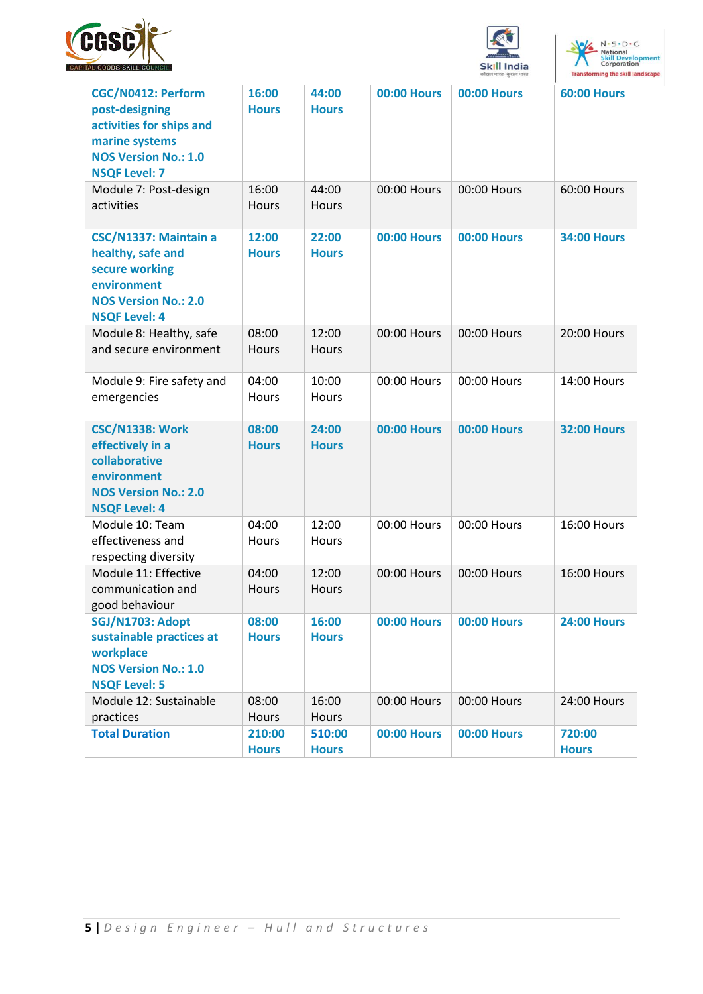





| <b>CGC/N0412: Perform</b><br>post-designing<br>activities for ships and<br>marine systems<br><b>NOS Version No.: 1.0</b><br><b>NSQF Level: 7</b> | 16:00<br><b>Hours</b>  | 44:00<br><b>Hours</b>  | <b>00:00 Hours</b> | <b>00:00 Hours</b> | <b>60:00 Hours</b>     |
|--------------------------------------------------------------------------------------------------------------------------------------------------|------------------------|------------------------|--------------------|--------------------|------------------------|
| Module 7: Post-design<br>activities                                                                                                              | 16:00<br>Hours         | 44:00<br>Hours         | 00:00 Hours        | 00:00 Hours        | 60:00 Hours            |
| CSC/N1337: Maintain a<br>healthy, safe and<br>secure working<br>environment<br><b>NOS Version No.: 2.0</b><br><b>NSQF Level: 4</b>               | 12:00<br><b>Hours</b>  | 22:00<br><b>Hours</b>  | <b>00:00 Hours</b> | <b>00:00 Hours</b> | <b>34:00 Hours</b>     |
| Module 8: Healthy, safe<br>and secure environment                                                                                                | 08:00<br>Hours         | 12:00<br>Hours         | 00:00 Hours        | 00:00 Hours        | 20:00 Hours            |
| Module 9: Fire safety and<br>emergencies                                                                                                         | 04:00<br><b>Hours</b>  | 10:00<br>Hours         | 00:00 Hours        | 00:00 Hours        | 14:00 Hours            |
| <b>CSC/N1338: Work</b><br>effectively in a<br>collaborative<br>environment<br><b>NOS Version No.: 2.0</b><br><b>NSQF Level: 4</b>                | 08:00<br><b>Hours</b>  | 24:00<br><b>Hours</b>  | <b>00:00 Hours</b> | <b>00:00 Hours</b> | <b>32:00 Hours</b>     |
| Module 10: Team<br>effectiveness and<br>respecting diversity                                                                                     | 04:00<br>Hours         | 12:00<br>Hours         | 00:00 Hours        | 00:00 Hours        | 16:00 Hours            |
| Module 11: Effective<br>communication and<br>good behaviour                                                                                      | 04:00<br>Hours         | 12:00<br>Hours         | 00:00 Hours        | 00:00 Hours        | 16:00 Hours            |
| SGJ/N1703: Adopt<br>sustainable practices at<br>workplace<br><b>NOS Version No.: 1.0</b><br><b>NSQF Level: 5</b>                                 | 08:00<br><b>Hours</b>  | 16:00<br><b>Hours</b>  | <b>00:00 Hours</b> | <b>00:00 Hours</b> | <b>24:00 Hours</b>     |
| Module 12: Sustainable<br>practices                                                                                                              | 08:00<br>Hours         | 16:00<br>Hours         | 00:00 Hours        | 00:00 Hours        | 24:00 Hours            |
| <b>Total Duration</b>                                                                                                                            | 210:00<br><b>Hours</b> | 510:00<br><b>Hours</b> | <b>00:00 Hours</b> | <b>00:00 Hours</b> | 720:00<br><b>Hours</b> |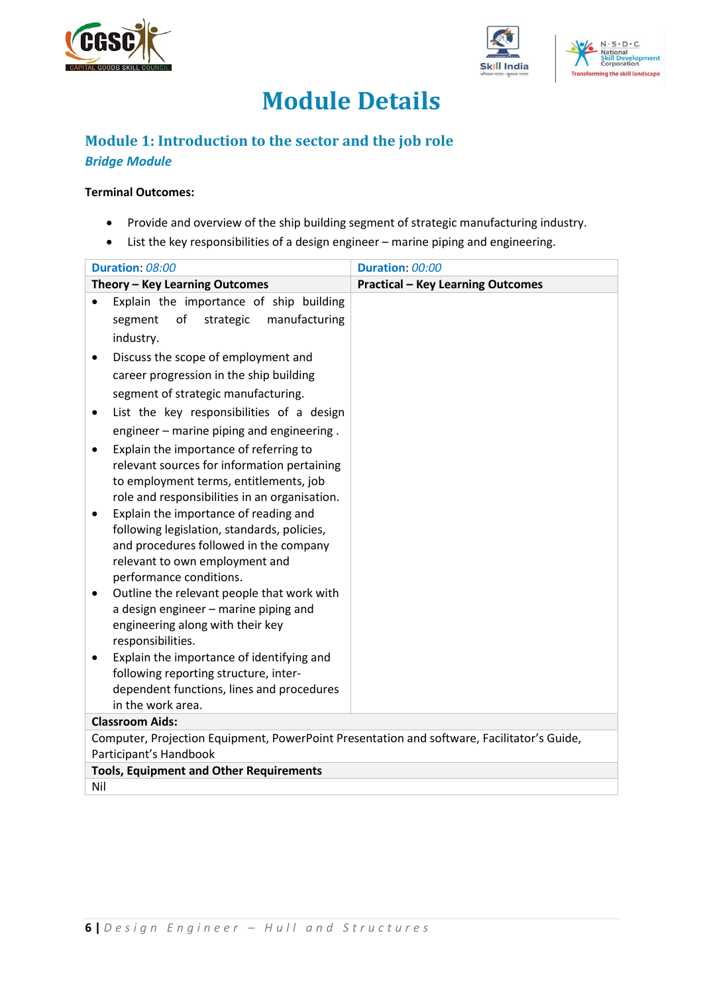





## **Module Details**

## <span id="page-5-1"></span><span id="page-5-0"></span>**Module 1: Introduction to the sector and the job role** *Bridge Module*

#### **Terminal Outcomes:**

- Provide and overview of the ship building segment of strategic manufacturing industry.
- List the key responsibilities of a design engineer marine piping and engineering.

|                        | Duration: 08:00                                                                            | Duration: 00:00 |                                          |  |
|------------------------|--------------------------------------------------------------------------------------------|-----------------|------------------------------------------|--|
|                        | Theory - Key Learning Outcomes                                                             |                 | <b>Practical - Key Learning Outcomes</b> |  |
|                        | Explain the importance of ship building                                                    |                 |                                          |  |
|                        | of<br>strategic<br>manufacturing<br>segment                                                |                 |                                          |  |
|                        | industry.                                                                                  |                 |                                          |  |
|                        | Discuss the scope of employment and                                                        |                 |                                          |  |
|                        | career progression in the ship building                                                    |                 |                                          |  |
|                        | segment of strategic manufacturing.                                                        |                 |                                          |  |
| ٠                      | List the key responsibilities of a design                                                  |                 |                                          |  |
|                        | engineer - marine piping and engineering.                                                  |                 |                                          |  |
|                        | Explain the importance of referring to                                                     |                 |                                          |  |
|                        | relevant sources for information pertaining                                                |                 |                                          |  |
|                        | to employment terms, entitlements, job                                                     |                 |                                          |  |
|                        | role and responsibilities in an organisation.                                              |                 |                                          |  |
|                        | Explain the importance of reading and                                                      |                 |                                          |  |
|                        | following legislation, standards, policies,                                                |                 |                                          |  |
|                        | and procedures followed in the company                                                     |                 |                                          |  |
|                        | relevant to own employment and                                                             |                 |                                          |  |
|                        | performance conditions.                                                                    |                 |                                          |  |
|                        | Outline the relevant people that work with                                                 |                 |                                          |  |
|                        | a design engineer - marine piping and                                                      |                 |                                          |  |
|                        | engineering along with their key<br>responsibilities.                                      |                 |                                          |  |
|                        | Explain the importance of identifying and                                                  |                 |                                          |  |
|                        | following reporting structure, inter-                                                      |                 |                                          |  |
|                        | dependent functions, lines and procedures                                                  |                 |                                          |  |
|                        | in the work area.                                                                          |                 |                                          |  |
|                        | <b>Classroom Aids:</b>                                                                     |                 |                                          |  |
|                        | Computer, Projection Equipment, PowerPoint Presentation and software, Facilitator's Guide, |                 |                                          |  |
| Participant's Handbook |                                                                                            |                 |                                          |  |
|                        | <b>Tools, Equipment and Other Requirements</b>                                             |                 |                                          |  |
| Nil                    |                                                                                            |                 |                                          |  |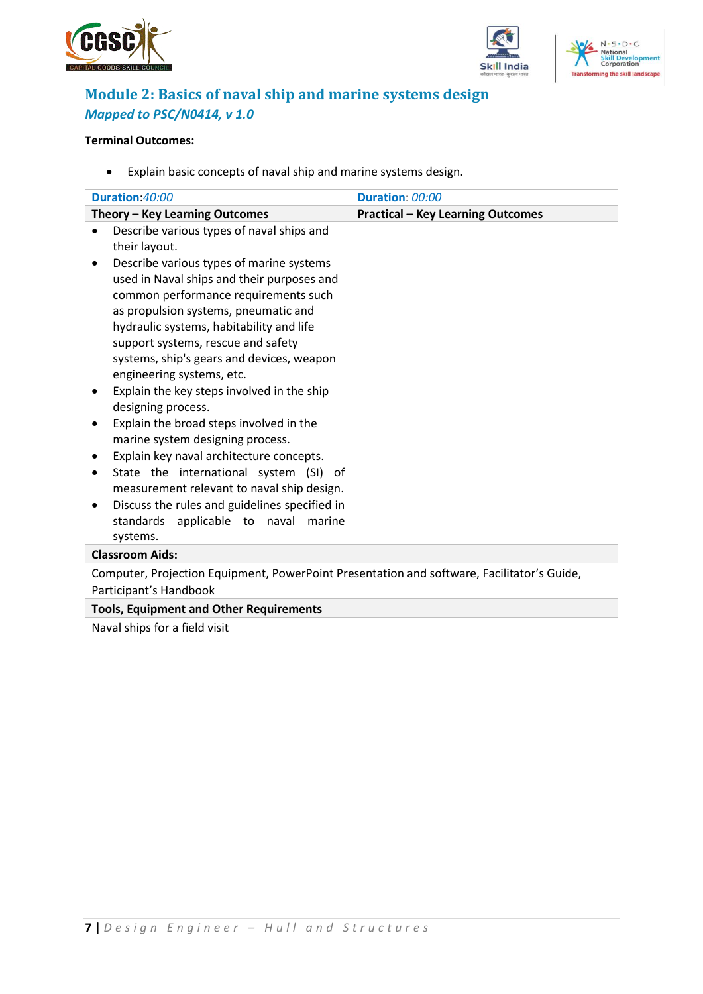





## <span id="page-6-0"></span>**Module 2: Basics of naval ship and marine systems design** *Mapped to PSC/N0414, v 1.0*

#### **Terminal Outcomes:**

• Explain basic concepts of naval ship and marine systems design.

| Duration 40:00                                                                             | Duration: 00:00                          |  |  |  |
|--------------------------------------------------------------------------------------------|------------------------------------------|--|--|--|
| Theory - Key Learning Outcomes                                                             | <b>Practical - Key Learning Outcomes</b> |  |  |  |
| Describe various types of naval ships and                                                  |                                          |  |  |  |
| their layout.                                                                              |                                          |  |  |  |
| Describe various types of marine systems<br>$\bullet$                                      |                                          |  |  |  |
| used in Naval ships and their purposes and                                                 |                                          |  |  |  |
| common performance requirements such                                                       |                                          |  |  |  |
| as propulsion systems, pneumatic and                                                       |                                          |  |  |  |
| hydraulic systems, habitability and life                                                   |                                          |  |  |  |
| support systems, rescue and safety                                                         |                                          |  |  |  |
| systems, ship's gears and devices, weapon                                                  |                                          |  |  |  |
| engineering systems, etc.                                                                  |                                          |  |  |  |
| Explain the key steps involved in the ship                                                 |                                          |  |  |  |
| designing process.                                                                         |                                          |  |  |  |
| Explain the broad steps involved in the<br>٠                                               |                                          |  |  |  |
| marine system designing process.                                                           |                                          |  |  |  |
| Explain key naval architecture concepts.<br>٠                                              |                                          |  |  |  |
| State the international system (SI) of                                                     |                                          |  |  |  |
| measurement relevant to naval ship design.                                                 |                                          |  |  |  |
| Discuss the rules and guidelines specified in                                              |                                          |  |  |  |
| standards applicable to naval marine                                                       |                                          |  |  |  |
| systems.                                                                                   |                                          |  |  |  |
| <b>Classroom Aids:</b>                                                                     |                                          |  |  |  |
| Computer, Projection Equipment, PowerPoint Presentation and software, Facilitator's Guide, |                                          |  |  |  |
| Participant's Handbook                                                                     |                                          |  |  |  |
| <b>Tools, Equipment and Other Requirements</b>                                             |                                          |  |  |  |
| Naval ships for a field visit                                                              |                                          |  |  |  |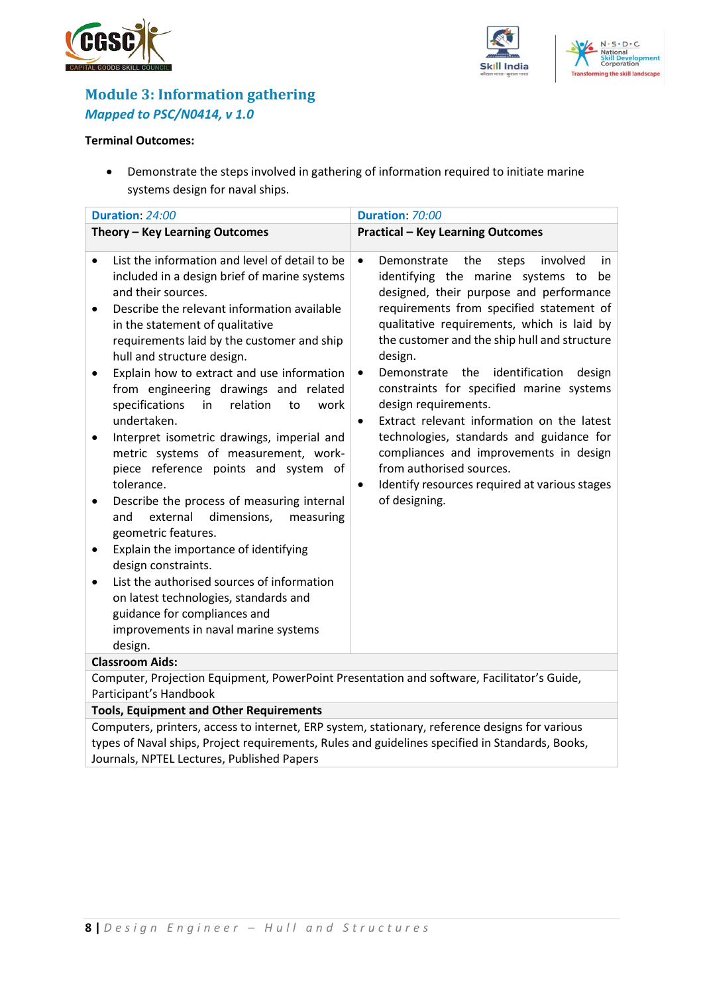





## <span id="page-7-0"></span>**Module 3: Information gathering**  *Mapped to PSC/N0414, v 1.0*

#### **Terminal Outcomes:**

• Demonstrate the steps involved in gathering of information required to initiate marine systems design for naval ships.

| Duration: 24:00                                                                                                                                                                                                                                                                                                                                                                                                                                                                                                                                                                                                                                                                                                                                                                                                                                                                                                                                                                | Duration: 70:00                                                                                                                                                                                                                                                                                                                                                                                                                                                                                                                                                                                                                                                                                    |  |  |
|--------------------------------------------------------------------------------------------------------------------------------------------------------------------------------------------------------------------------------------------------------------------------------------------------------------------------------------------------------------------------------------------------------------------------------------------------------------------------------------------------------------------------------------------------------------------------------------------------------------------------------------------------------------------------------------------------------------------------------------------------------------------------------------------------------------------------------------------------------------------------------------------------------------------------------------------------------------------------------|----------------------------------------------------------------------------------------------------------------------------------------------------------------------------------------------------------------------------------------------------------------------------------------------------------------------------------------------------------------------------------------------------------------------------------------------------------------------------------------------------------------------------------------------------------------------------------------------------------------------------------------------------------------------------------------------------|--|--|
| Theory - Key Learning Outcomes                                                                                                                                                                                                                                                                                                                                                                                                                                                                                                                                                                                                                                                                                                                                                                                                                                                                                                                                                 | <b>Practical - Key Learning Outcomes</b>                                                                                                                                                                                                                                                                                                                                                                                                                                                                                                                                                                                                                                                           |  |  |
| List the information and level of detail to be<br>included in a design brief of marine systems<br>and their sources.<br>Describe the relevant information available<br>$\bullet$<br>in the statement of qualitative<br>requirements laid by the customer and ship<br>hull and structure design.<br>Explain how to extract and use information<br>from engineering drawings and related<br>specifications<br>relation<br>in<br>to<br>work<br>undertaken.<br>Interpret isometric drawings, imperial and<br>metric systems of measurement, work-<br>piece reference points and system of<br>tolerance.<br>Describe the process of measuring internal<br>external<br>dimensions,<br>and<br>measuring<br>geometric features.<br>Explain the importance of identifying<br>design constraints.<br>List the authorised sources of information<br>$\bullet$<br>on latest technologies, standards and<br>guidance for compliances and<br>improvements in naval marine systems<br>design. | Demonstrate<br>involved<br>$\bullet$<br>the<br>steps<br>in.<br>identifying the marine systems to<br>be<br>designed, their purpose and performance<br>requirements from specified statement of<br>qualitative requirements, which is laid by<br>the customer and the ship hull and structure<br>design.<br>Demonstrate the<br>identification<br>design<br>$\bullet$<br>constraints for specified marine systems<br>design requirements.<br>Extract relevant information on the latest<br>$\bullet$<br>technologies, standards and guidance for<br>compliances and improvements in design<br>from authorised sources.<br>Identify resources required at various stages<br>$\bullet$<br>of designing. |  |  |
| <b>Classroom Aids:</b>                                                                                                                                                                                                                                                                                                                                                                                                                                                                                                                                                                                                                                                                                                                                                                                                                                                                                                                                                         |                                                                                                                                                                                                                                                                                                                                                                                                                                                                                                                                                                                                                                                                                                    |  |  |
| Computer, Projection Equipment, PowerPoint Presentation and software, Facilitator's Guide,<br>Participant's Handbook                                                                                                                                                                                                                                                                                                                                                                                                                                                                                                                                                                                                                                                                                                                                                                                                                                                           |                                                                                                                                                                                                                                                                                                                                                                                                                                                                                                                                                                                                                                                                                                    |  |  |
| <b>Tools, Equipment and Other Requirements</b>                                                                                                                                                                                                                                                                                                                                                                                                                                                                                                                                                                                                                                                                                                                                                                                                                                                                                                                                 |                                                                                                                                                                                                                                                                                                                                                                                                                                                                                                                                                                                                                                                                                                    |  |  |

Computers, printers, access to internet, ERP system, stationary, reference designs for various types of Naval ships, Project requirements, Rules and guidelines specified in Standards, Books, Journals, NPTEL Lectures, Published Papers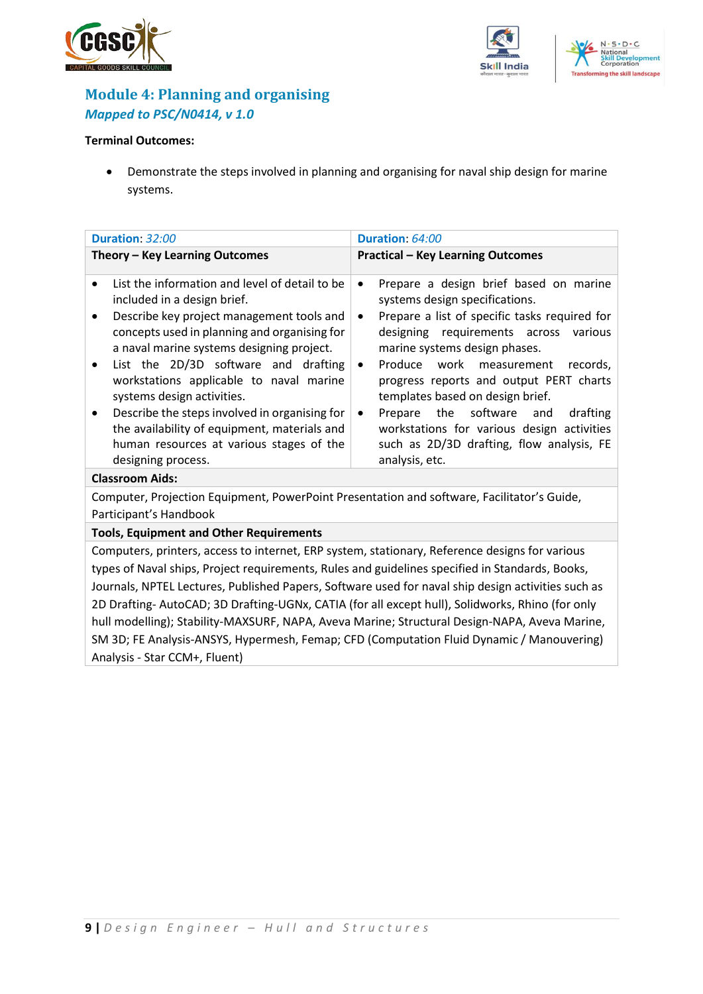





### <span id="page-8-0"></span>**Module 4: Planning and organising** *Mapped to PSC/N0414, v 1.0*

#### **Terminal Outcomes:**

• Demonstrate the steps involved in planning and organising for naval ship design for marine systems.

| Duration: 32:00                                                                                                                                                                                                                                                                                                                                                                                                                                                                                                               | Duration: 64:00                                                                                                                                                                                                                                                                                                                                                                                                                                                                                                                  |  |  |
|-------------------------------------------------------------------------------------------------------------------------------------------------------------------------------------------------------------------------------------------------------------------------------------------------------------------------------------------------------------------------------------------------------------------------------------------------------------------------------------------------------------------------------|----------------------------------------------------------------------------------------------------------------------------------------------------------------------------------------------------------------------------------------------------------------------------------------------------------------------------------------------------------------------------------------------------------------------------------------------------------------------------------------------------------------------------------|--|--|
| Theory - Key Learning Outcomes                                                                                                                                                                                                                                                                                                                                                                                                                                                                                                | <b>Practical - Key Learning Outcomes</b>                                                                                                                                                                                                                                                                                                                                                                                                                                                                                         |  |  |
| List the information and level of detail to be<br>included in a design brief.<br>Describe key project management tools and<br>٠<br>concepts used in planning and organising for<br>a naval marine systems designing project.<br>List the 2D/3D software and drafting<br>workstations applicable to naval marine<br>systems design activities.<br>Describe the steps involved in organising for<br>$\bullet$<br>the availability of equipment, materials and<br>human resources at various stages of the<br>designing process. | Prepare a design brief based on marine<br>$\bullet$<br>systems design specifications.<br>Prepare a list of specific tasks required for<br>$\bullet$<br>designing requirements across various<br>marine systems design phases.<br>Produce work measurement records,<br>$\bullet$<br>progress reports and output PERT charts<br>templates based on design brief.<br>Prepare the software and<br>drafting<br>$\bullet$<br>workstations for various design activities<br>such as 2D/3D drafting, flow analysis, FE<br>analysis, etc. |  |  |
| <b>Classroom Aids:</b>                                                                                                                                                                                                                                                                                                                                                                                                                                                                                                        |                                                                                                                                                                                                                                                                                                                                                                                                                                                                                                                                  |  |  |
| Computer, Projection Equipment, PowerPoint Presentation and software, Facilitator's Guide,                                                                                                                                                                                                                                                                                                                                                                                                                                    |                                                                                                                                                                                                                                                                                                                                                                                                                                                                                                                                  |  |  |
| Participant's Handbook                                                                                                                                                                                                                                                                                                                                                                                                                                                                                                        |                                                                                                                                                                                                                                                                                                                                                                                                                                                                                                                                  |  |  |
| <b>Tools, Equipment and Other Requirements</b>                                                                                                                                                                                                                                                                                                                                                                                                                                                                                |                                                                                                                                                                                                                                                                                                                                                                                                                                                                                                                                  |  |  |
| Computers, printers, access to internet, ERP system, stationary, Reference designs for various                                                                                                                                                                                                                                                                                                                                                                                                                                |                                                                                                                                                                                                                                                                                                                                                                                                                                                                                                                                  |  |  |

types of Naval ships, Project requirements, Rules and guidelines specified in Standards, Books, Journals, NPTEL Lectures, Published Papers, Software used for naval ship design activities such as 2D Drafting- AutoCAD; 3D Drafting-UGNx, CATIA (for all except hull), Solidworks, Rhino (for only hull modelling); Stability-MAXSURF, NAPA, Aveva Marine; Structural Design-NAPA, Aveva Marine, SM 3D; FE Analysis-ANSYS, Hypermesh, Femap; CFD (Computation Fluid Dynamic / Manouvering) Analysis - Star CCM+, Fluent)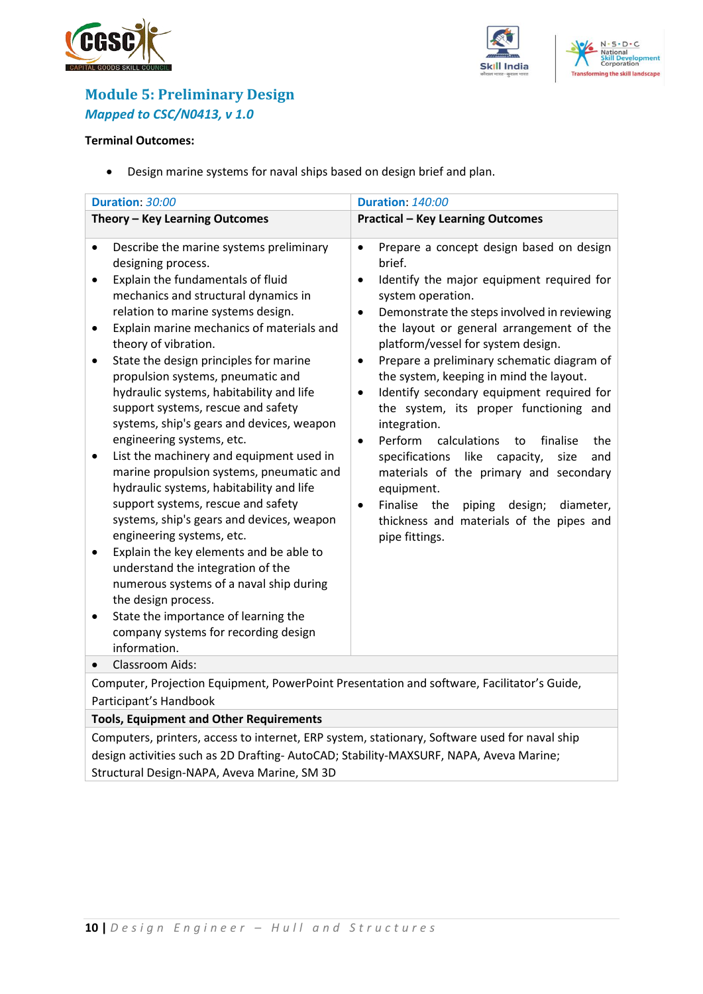





## <span id="page-9-0"></span>**Module 5: Preliminary Design** *Mapped to CSC/N0413, v 1.0*

#### **Terminal Outcomes:**

• Design marine systems for naval ships based on design brief and plan.

| Duration: 30:00<br><b>Duration: 140:00</b>                                                                                                                                                                                                                                                                                                                                                                                                                                                                                                                                                                                                                                                                                                                                                                                                                                                                                                                                                                                                           |                                                                                                                                                                                                                                                                                                                                                                                                                                                                                                                                                                                                                                                                                                                                                                                                                              |  |  |
|------------------------------------------------------------------------------------------------------------------------------------------------------------------------------------------------------------------------------------------------------------------------------------------------------------------------------------------------------------------------------------------------------------------------------------------------------------------------------------------------------------------------------------------------------------------------------------------------------------------------------------------------------------------------------------------------------------------------------------------------------------------------------------------------------------------------------------------------------------------------------------------------------------------------------------------------------------------------------------------------------------------------------------------------------|------------------------------------------------------------------------------------------------------------------------------------------------------------------------------------------------------------------------------------------------------------------------------------------------------------------------------------------------------------------------------------------------------------------------------------------------------------------------------------------------------------------------------------------------------------------------------------------------------------------------------------------------------------------------------------------------------------------------------------------------------------------------------------------------------------------------------|--|--|
| Theory - Key Learning Outcomes                                                                                                                                                                                                                                                                                                                                                                                                                                                                                                                                                                                                                                                                                                                                                                                                                                                                                                                                                                                                                       | <b>Practical - Key Learning Outcomes</b>                                                                                                                                                                                                                                                                                                                                                                                                                                                                                                                                                                                                                                                                                                                                                                                     |  |  |
| Describe the marine systems preliminary<br>$\bullet$<br>designing process.<br>Explain the fundamentals of fluid<br>$\bullet$<br>mechanics and structural dynamics in<br>relation to marine systems design.<br>Explain marine mechanics of materials and<br>٠<br>theory of vibration.<br>State the design principles for marine<br>propulsion systems, pneumatic and<br>hydraulic systems, habitability and life<br>support systems, rescue and safety<br>systems, ship's gears and devices, weapon<br>engineering systems, etc.<br>List the machinery and equipment used in<br>٠<br>marine propulsion systems, pneumatic and<br>hydraulic systems, habitability and life<br>support systems, rescue and safety<br>systems, ship's gears and devices, weapon<br>engineering systems, etc.<br>Explain the key elements and be able to<br>٠<br>understand the integration of the<br>numerous systems of a naval ship during<br>the design process.<br>State the importance of learning the<br>٠<br>company systems for recording design<br>information. | Prepare a concept design based on design<br>$\bullet$<br>brief.<br>Identify the major equipment required for<br>$\bullet$<br>system operation.<br>Demonstrate the steps involved in reviewing<br>$\bullet$<br>the layout or general arrangement of the<br>platform/vessel for system design.<br>Prepare a preliminary schematic diagram of<br>$\bullet$<br>the system, keeping in mind the layout.<br>Identify secondary equipment required for<br>$\bullet$<br>the system, its proper functioning and<br>integration.<br>Perform<br>calculations<br>to<br>finalise<br>the<br>$\bullet$<br>specifications like<br>capacity,<br>size<br>and<br>materials of the primary and secondary<br>equipment.<br>Finalise the<br>piping design;<br>diameter,<br>$\bullet$<br>thickness and materials of the pipes and<br>pipe fittings. |  |  |
| Classroom Aids:<br>$\bullet$                                                                                                                                                                                                                                                                                                                                                                                                                                                                                                                                                                                                                                                                                                                                                                                                                                                                                                                                                                                                                         |                                                                                                                                                                                                                                                                                                                                                                                                                                                                                                                                                                                                                                                                                                                                                                                                                              |  |  |
| Computer, Projection Equipment, PowerPoint Presentation and software, Facilitator's Guide,                                                                                                                                                                                                                                                                                                                                                                                                                                                                                                                                                                                                                                                                                                                                                                                                                                                                                                                                                           |                                                                                                                                                                                                                                                                                                                                                                                                                                                                                                                                                                                                                                                                                                                                                                                                                              |  |  |
| Participant's Handbook                                                                                                                                                                                                                                                                                                                                                                                                                                                                                                                                                                                                                                                                                                                                                                                                                                                                                                                                                                                                                               |                                                                                                                                                                                                                                                                                                                                                                                                                                                                                                                                                                                                                                                                                                                                                                                                                              |  |  |
| <b>Tools, Equipment and Other Requirements</b>                                                                                                                                                                                                                                                                                                                                                                                                                                                                                                                                                                                                                                                                                                                                                                                                                                                                                                                                                                                                       |                                                                                                                                                                                                                                                                                                                                                                                                                                                                                                                                                                                                                                                                                                                                                                                                                              |  |  |

Computers, printers, access to internet, ERP system, stationary, Software used for naval ship design activities such as 2D Drafting- AutoCAD; Stability-MAXSURF, NAPA, Aveva Marine; Structural Design-NAPA, Aveva Marine, SM 3D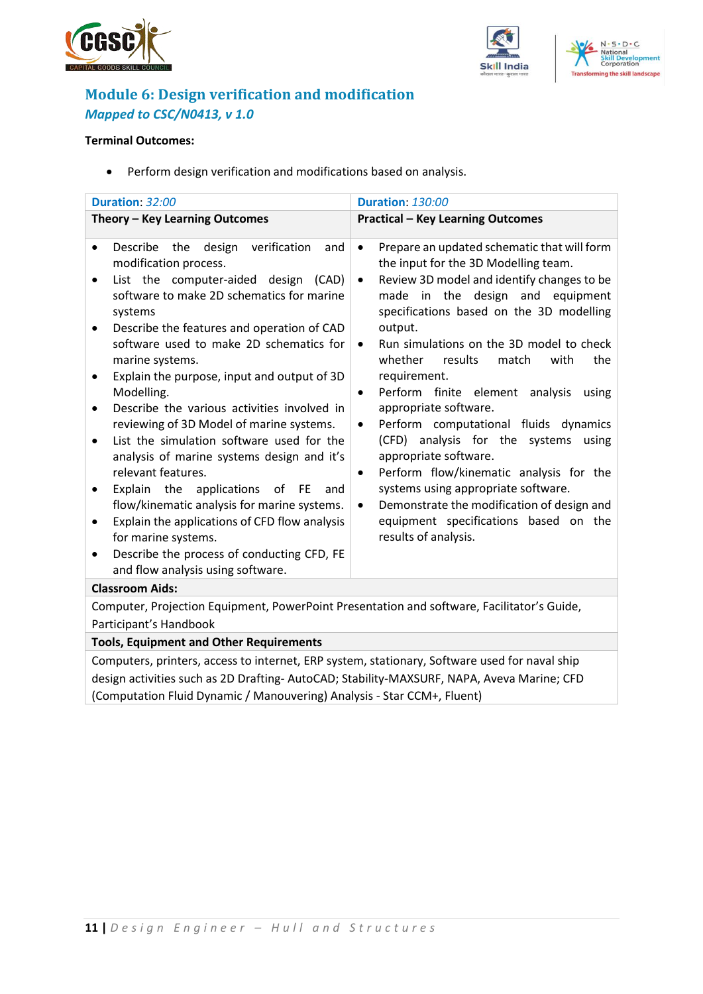





## <span id="page-10-0"></span>**Module 6: Design verification and modification** *Mapped to CSC/N0413, v 1.0*

#### **Terminal Outcomes:**

• Perform design verification and modifications based on analysis.

| Duration: 32:00                                                                                                                                                                                                                                                                                                                                                                                                                                                                                                                                                                                                                                                                                                                                                                                                                                                                                          | <b>Duration: 130:00</b>                                                                                                                                                                                                                                                                                                                                                                                                                                                                                                                                                                                                                                                                                                                                                                                              |  |  |
|----------------------------------------------------------------------------------------------------------------------------------------------------------------------------------------------------------------------------------------------------------------------------------------------------------------------------------------------------------------------------------------------------------------------------------------------------------------------------------------------------------------------------------------------------------------------------------------------------------------------------------------------------------------------------------------------------------------------------------------------------------------------------------------------------------------------------------------------------------------------------------------------------------|----------------------------------------------------------------------------------------------------------------------------------------------------------------------------------------------------------------------------------------------------------------------------------------------------------------------------------------------------------------------------------------------------------------------------------------------------------------------------------------------------------------------------------------------------------------------------------------------------------------------------------------------------------------------------------------------------------------------------------------------------------------------------------------------------------------------|--|--|
| Theory - Key Learning Outcomes                                                                                                                                                                                                                                                                                                                                                                                                                                                                                                                                                                                                                                                                                                                                                                                                                                                                           | <b>Practical - Key Learning Outcomes</b>                                                                                                                                                                                                                                                                                                                                                                                                                                                                                                                                                                                                                                                                                                                                                                             |  |  |
| Describe the<br>design verification<br>and<br>$\bullet$<br>modification process.<br>List the computer-aided design (CAD)<br>$\bullet$<br>software to make 2D schematics for marine<br>systems<br>Describe the features and operation of CAD<br>$\bullet$<br>software used to make 2D schematics for<br>marine systems.<br>Explain the purpose, input and output of 3D<br>٠<br>Modelling.<br>Describe the various activities involved in<br>$\bullet$<br>reviewing of 3D Model of marine systems.<br>List the simulation software used for the<br>$\bullet$<br>analysis of marine systems design and it's<br>relevant features.<br>Explain the applications of FE<br>and<br>٠<br>flow/kinematic analysis for marine systems.<br>Explain the applications of CFD flow analysis<br>$\bullet$<br>for marine systems.<br>Describe the process of conducting CFD, FE<br>٠<br>and flow analysis using software. | Prepare an updated schematic that will form<br>$\bullet$<br>the input for the 3D Modelling team.<br>Review 3D model and identify changes to be<br>$\bullet$<br>made in the design and equipment<br>specifications based on the 3D modelling<br>output.<br>Run simulations on the 3D model to check<br>$\bullet$<br>whether<br>results<br>match<br>the<br>with<br>requirement.<br>Perform finite element analysis<br>using<br>$\bullet$<br>appropriate software.<br>Perform computational fluids dynamics<br>$\bullet$<br>(CFD) analysis for the systems<br>using<br>appropriate software.<br>Perform flow/kinematic analysis for the<br>$\bullet$<br>systems using appropriate software.<br>Demonstrate the modification of design and<br>$\bullet$<br>equipment specifications based on the<br>results of analysis. |  |  |
| <b>Classroom Aids:</b>                                                                                                                                                                                                                                                                                                                                                                                                                                                                                                                                                                                                                                                                                                                                                                                                                                                                                   |                                                                                                                                                                                                                                                                                                                                                                                                                                                                                                                                                                                                                                                                                                                                                                                                                      |  |  |
| Computer, Projection Equipment, PowerPoint Presentation and software, Facilitator's Guide,                                                                                                                                                                                                                                                                                                                                                                                                                                                                                                                                                                                                                                                                                                                                                                                                               |                                                                                                                                                                                                                                                                                                                                                                                                                                                                                                                                                                                                                                                                                                                                                                                                                      |  |  |
| Participant's Handbook                                                                                                                                                                                                                                                                                                                                                                                                                                                                                                                                                                                                                                                                                                                                                                                                                                                                                   |                                                                                                                                                                                                                                                                                                                                                                                                                                                                                                                                                                                                                                                                                                                                                                                                                      |  |  |

#### **Tools, Equipment and Other Requirements**

Computers, printers, access to internet, ERP system, stationary, Software used for naval ship design activities such as 2D Drafting- AutoCAD; Stability-MAXSURF, NAPA, Aveva Marine; CFD (Computation Fluid Dynamic / Manouvering) Analysis - Star CCM+, Fluent)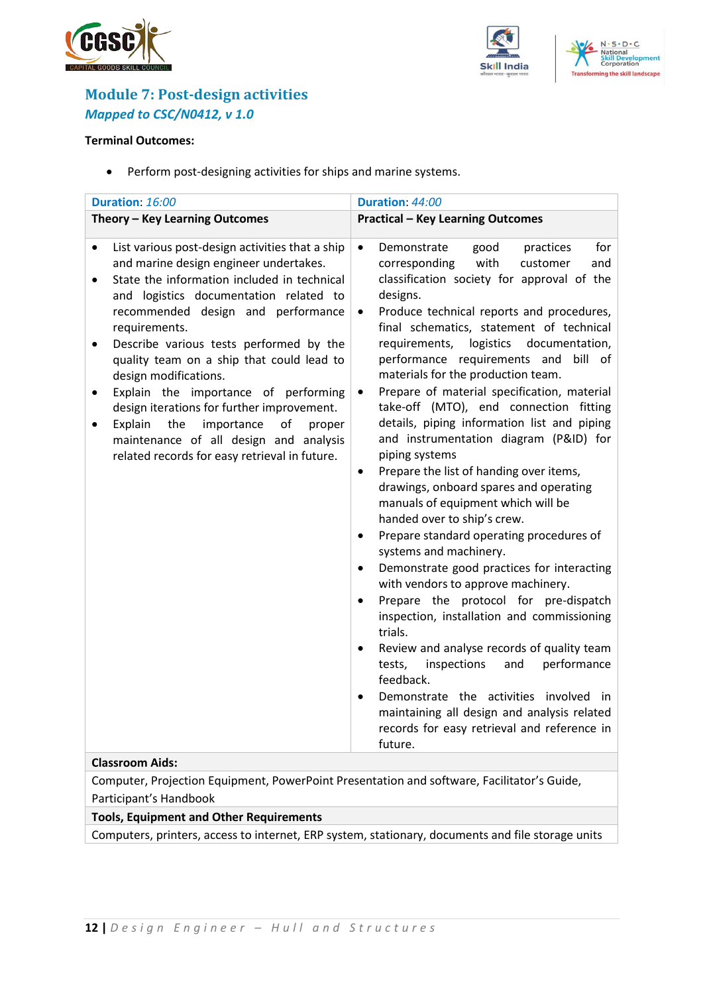





## <span id="page-11-0"></span>**Module 7: Post-design activities** *Mapped to CSC/N0412, v 1.0*

#### **Terminal Outcomes:**

• Perform post-designing activities for ships and marine systems.

| Duration: 16:00                                                                                                                                                                                                                                                                                                                                                                                                                                                                                                                                                                                                                                              | Duration: 44:00                                                                                                                                                                                                                                                                                                                                                                                                                                                                                                                                                                                                                                                                                                                                                                                                                                                                                                                                                                                                                                                                                                                                                                                                                                                                                                                                                        |  |
|--------------------------------------------------------------------------------------------------------------------------------------------------------------------------------------------------------------------------------------------------------------------------------------------------------------------------------------------------------------------------------------------------------------------------------------------------------------------------------------------------------------------------------------------------------------------------------------------------------------------------------------------------------------|------------------------------------------------------------------------------------------------------------------------------------------------------------------------------------------------------------------------------------------------------------------------------------------------------------------------------------------------------------------------------------------------------------------------------------------------------------------------------------------------------------------------------------------------------------------------------------------------------------------------------------------------------------------------------------------------------------------------------------------------------------------------------------------------------------------------------------------------------------------------------------------------------------------------------------------------------------------------------------------------------------------------------------------------------------------------------------------------------------------------------------------------------------------------------------------------------------------------------------------------------------------------------------------------------------------------------------------------------------------------|--|
| Theory - Key Learning Outcomes                                                                                                                                                                                                                                                                                                                                                                                                                                                                                                                                                                                                                               | <b>Practical - Key Learning Outcomes</b>                                                                                                                                                                                                                                                                                                                                                                                                                                                                                                                                                                                                                                                                                                                                                                                                                                                                                                                                                                                                                                                                                                                                                                                                                                                                                                                               |  |
| List various post-design activities that a ship<br>$\bullet$<br>and marine design engineer undertakes.<br>State the information included in technical<br>$\bullet$<br>and logistics documentation related to<br>recommended design and performance<br>requirements.<br>Describe various tests performed by the<br>$\bullet$<br>quality team on a ship that could lead to<br>design modifications.<br>Explain the importance of performing<br>design iterations for further improvement.<br>Explain<br>the<br>of<br>importance<br>proper<br>maintenance of all design and analysis<br>related records for easy retrieval in future.<br><b>Classroom Aids:</b> | for<br>$\bullet$<br>Demonstrate<br>good<br>practices<br>with<br>customer<br>and<br>corresponding<br>classification society for approval of the<br>designs.<br>Produce technical reports and procedures,<br>$\bullet$<br>final schematics, statement of technical<br>requirements,<br>logistics<br>documentation,<br>performance requirements and<br>bill of<br>materials for the production team.<br>Prepare of material specification, material<br>$\bullet$<br>take-off (MTO), end connection fitting<br>details, piping information list and piping<br>and instrumentation diagram (P&ID) for<br>piping systems<br>Prepare the list of handing over items,<br>$\bullet$<br>drawings, onboard spares and operating<br>manuals of equipment which will be<br>handed over to ship's crew.<br>Prepare standard operating procedures of<br>$\bullet$<br>systems and machinery.<br>Demonstrate good practices for interacting<br>$\bullet$<br>with vendors to approve machinery.<br>Prepare the protocol for pre-dispatch<br>$\bullet$<br>inspection, installation and commissioning<br>trials.<br>Review and analyse records of quality team<br>performance<br>tests,<br>inspections<br>and<br>feedback.<br>Demonstrate the activities involved in<br>$\bullet$<br>maintaining all design and analysis related<br>records for easy retrieval and reference in<br>future. |  |
|                                                                                                                                                                                                                                                                                                                                                                                                                                                                                                                                                                                                                                                              |                                                                                                                                                                                                                                                                                                                                                                                                                                                                                                                                                                                                                                                                                                                                                                                                                                                                                                                                                                                                                                                                                                                                                                                                                                                                                                                                                                        |  |

Computer, Projection Equipment, PowerPoint Presentation and software, Facilitator's Guide, Participant's Handbook

**Tools, Equipment and Other Requirements** 

Computers, printers, access to internet, ERP system, stationary, documents and file storage units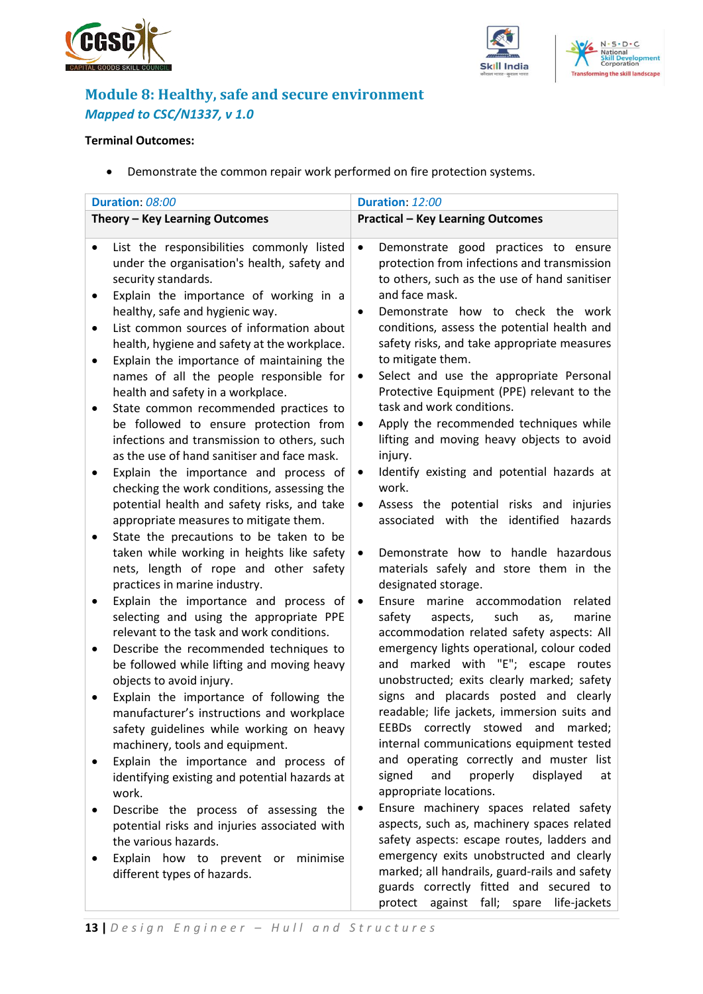



protect against fall; spare life-jackets



## <span id="page-12-0"></span>**Module 8: Healthy, safe and secure environment** *Mapped to CSC/N1337, v 1.0*

#### **Terminal Outcomes:**

• Demonstrate the common repair work performed on fire protection systems.

|                                | Duration: 08:00                                                                                                                  | Duration: 12:00                                                                                                                                  |
|--------------------------------|----------------------------------------------------------------------------------------------------------------------------------|--------------------------------------------------------------------------------------------------------------------------------------------------|
| Theory - Key Learning Outcomes |                                                                                                                                  | <b>Practical - Key Learning Outcomes</b>                                                                                                         |
|                                |                                                                                                                                  |                                                                                                                                                  |
|                                | List the responsibilities commonly listed<br>under the organisation's health, safety and<br>security standards.                  | Demonstrate good practices to ensure<br>$\bullet$<br>protection from infections and transmission<br>to others, such as the use of hand sanitiser |
|                                | Explain the importance of working in a<br>healthy, safe and hygienic way.                                                        | and face mask.<br>Demonstrate how to check the work<br>$\bullet$                                                                                 |
| $\bullet$                      | List common sources of information about<br>health, hygiene and safety at the workplace.                                         | conditions, assess the potential health and<br>safety risks, and take appropriate measures                                                       |
| ٠                              | Explain the importance of maintaining the<br>names of all the people responsible for                                             | to mitigate them.<br>Select and use the appropriate Personal<br>$\bullet$                                                                        |
|                                | health and safety in a workplace.<br>State common recommended practices to<br>be followed to ensure protection from              | Protective Equipment (PPE) relevant to the<br>task and work conditions.<br>Apply the recommended techniques while<br>$\bullet$                   |
|                                | infections and transmission to others, such<br>as the use of hand sanitiser and face mask.                                       | lifting and moving heavy objects to avoid<br>injury.                                                                                             |
|                                | Explain the importance and process of<br>checking the work conditions, assessing the                                             | Identify existing and potential hazards at<br>$\bullet$<br>work.                                                                                 |
|                                | potential health and safety risks, and take<br>appropriate measures to mitigate them.<br>State the precautions to be taken to be | Assess the potential risks and<br>injuries<br>$\bullet$<br>associated with the identified<br>hazards                                             |
|                                | taken while working in heights like safety<br>nets, length of rope and other safety<br>practices in marine industry.             | Demonstrate how to handle hazardous<br>$\bullet$<br>materials safely and store them in the<br>designated storage.                                |
| ٠                              | Explain the importance and process of<br>selecting and using the appropriate PPE<br>relevant to the task and work conditions.    | Ensure marine accommodation<br>related<br>$\bullet$<br>such<br>marine<br>safety<br>aspects,<br>as,<br>accommodation related safety aspects: All  |
|                                | Describe the recommended techniques to<br>be followed while lifting and moving heavy<br>objects to avoid injury.                 | emergency lights operational, colour coded<br>marked with "E"; escape routes<br>and<br>unobstructed; exits clearly marked; safety                |
|                                | Explain the importance of following the<br>manufacturer's instructions and workplace<br>safety guidelines while working on heavy | signs and placards posted and clearly<br>readable; life jackets, immersion suits and<br>EEBDs correctly stowed and marked;                       |
|                                | machinery, tools and equipment.<br>Explain the importance and process of                                                         | internal communications equipment tested<br>and operating correctly and muster list                                                              |
|                                | identifying existing and potential hazards at<br>work.                                                                           | displayed<br>signed<br>and<br>properly<br>at<br>appropriate locations.                                                                           |
|                                | Describe the process of assessing the<br>potential risks and injuries associated with<br>the various hazards.                    | Ensure machinery spaces related safety<br>٠<br>aspects, such as, machinery spaces related<br>safety aspects: escape routes, ladders and          |
|                                | Explain how to prevent or<br>minimise<br>different types of hazards.                                                             | emergency exits unobstructed and clearly<br>marked; all handrails, guard-rails and safety<br>guards correctly fitted and secured to              |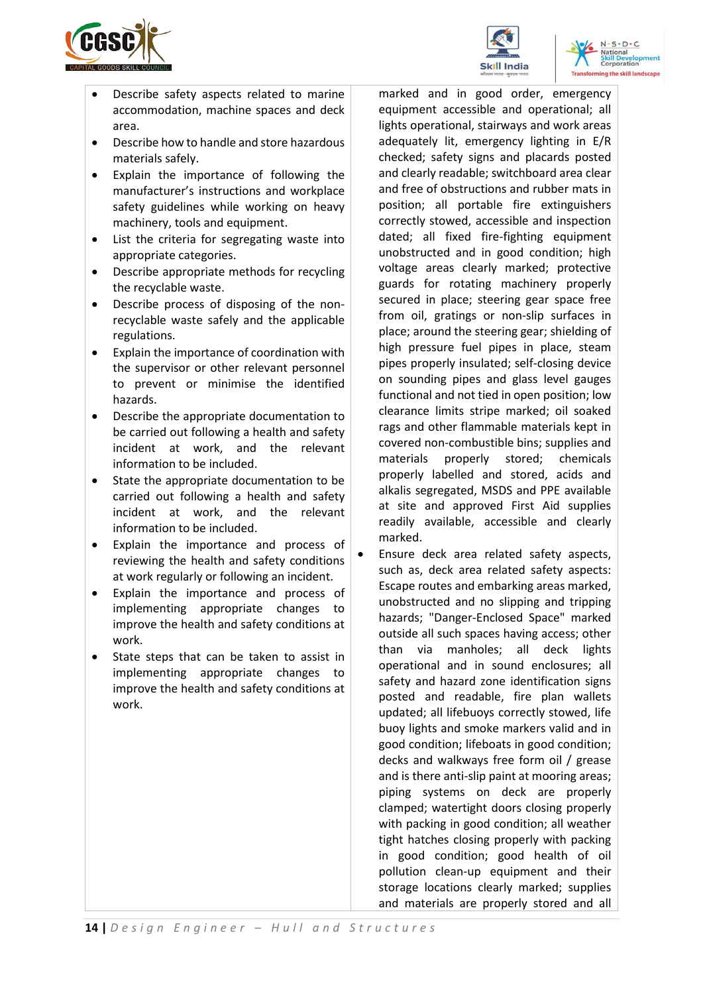





- Describe safety aspects related to marine accommodation, machine spaces and deck area.
- Describe how to handle and store hazardous materials safely.
- Explain the importance of following the manufacturer's instructions and workplace safety guidelines while working on heavy machinery, tools and equipment.
- List the criteria for segregating waste into appropriate categories.
- Describe appropriate methods for recycling the recyclable waste.
- Describe process of disposing of the nonrecyclable waste safely and the applicable regulations.
- Explain the importance of coordination with the supervisor or other relevant personnel to prevent or minimise the identified hazards.
- Describe the appropriate documentation to be carried out following a health and safety incident at work, and the relevant information to be included.
- State the appropriate documentation to be carried out following a health and safety incident at work, and the relevant information to be included.
- Explain the importance and process of reviewing the health and safety conditions at work regularly or following an incident.
- Explain the importance and process of implementing appropriate changes to improve the health and safety conditions at work.
- State steps that can be taken to assist in implementing appropriate changes to improve the health and safety conditions at work.

marked and in good order, emergency equipment accessible and operational; all lights operational, stairways and work areas adequately lit, emergency lighting in E/R checked; safety signs and placards posted and clearly readable; switchboard area clear and free of obstructions and rubber mats in position; all portable fire extinguishers correctly stowed, accessible and inspection dated; all fixed fire-fighting equipment unobstructed and in good condition; high voltage areas clearly marked; protective guards for rotating machinery properly secured in place; steering gear space free from oil, gratings or non-slip surfaces in place; around the steering gear; shielding of high pressure fuel pipes in place, steam pipes properly insulated; self-closing device on sounding pipes and glass level gauges functional and not tied in open position; low clearance limits stripe marked; oil soaked rags and other flammable materials kept in covered non-combustible bins; supplies and materials properly stored; chemicals properly labelled and stored, acids and alkalis segregated, MSDS and PPE available at site and approved First Aid supplies readily available, accessible and clearly marked.

• Ensure deck area related safety aspects, such as, deck area related safety aspects: Escape routes and embarking areas marked, unobstructed and no slipping and tripping hazards; "Danger-Enclosed Space" marked outside all such spaces having access; other than via manholes; all deck lights operational and in sound enclosures; all safety and hazard zone identification signs posted and readable, fire plan wallets updated; all lifebuoys correctly stowed, life buoy lights and smoke markers valid and in good condition; lifeboats in good condition; decks and walkways free form oil / grease and is there anti-slip paint at mooring areas; piping systems on deck are properly clamped; watertight doors closing properly with packing in good condition; all weather tight hatches closing properly with packing in good condition; good health of oil pollution clean-up equipment and their storage locations clearly marked; supplies and materials are properly stored and all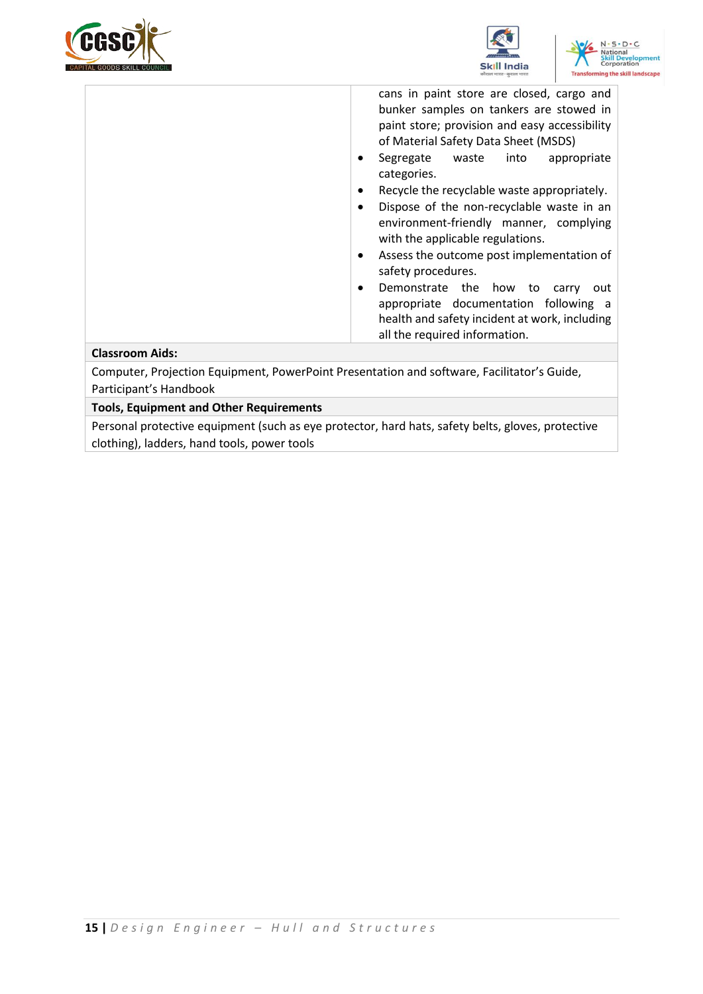





cans in paint store are closed, cargo and bunker samples on tankers are stowed in paint store; provision and easy accessibility of Material Safety Data Sheet (MSDS)

- Segregate waste into appropriate categories.
- Recycle the recyclable waste appropriately.
- Dispose of the non-recyclable waste in an environment-friendly manner, complying with the applicable regulations.
- Assess the outcome post implementation of safety procedures.
- Demonstrate the how to carry out appropriate documentation following a health and safety incident at work, including all the required information.

#### **Classroom Aids:**

Computer, Projection Equipment, PowerPoint Presentation and software, Facilitator's Guide, Participant's Handbook

#### **Tools, Equipment and Other Requirements**

Personal protective equipment (such as eye protector, hard hats, safety belts, gloves, protective clothing), ladders, hand tools, power tools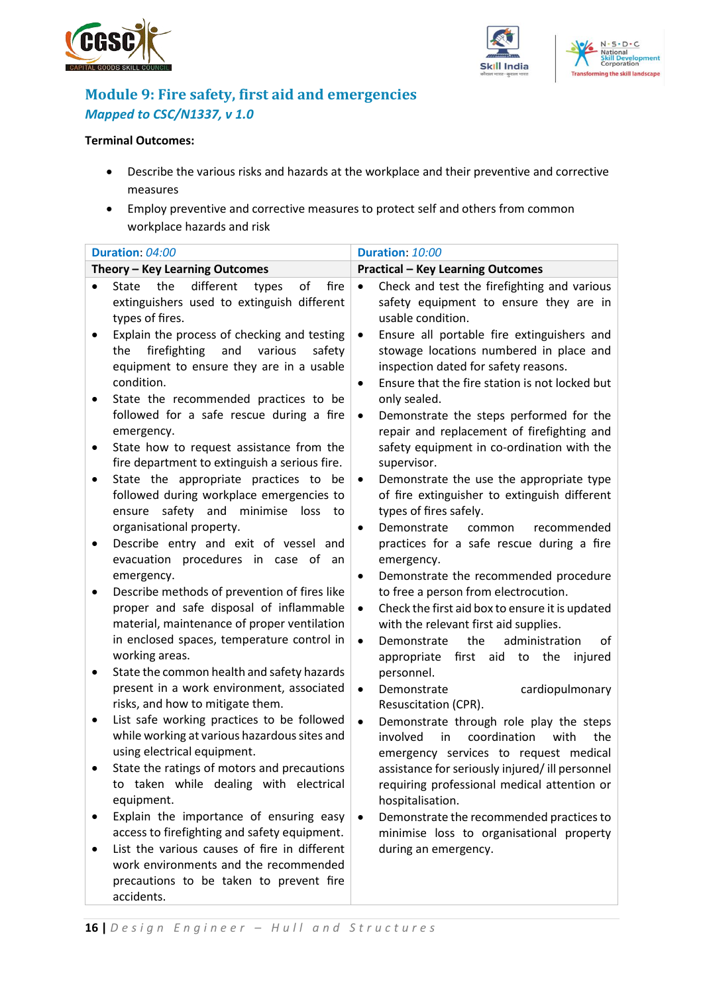





## <span id="page-15-0"></span>**Module 9: Fire safety, first aid and emergencies** *Mapped to CSC/N1337, v 1.0*

#### **Terminal Outcomes:**

- Describe the various risks and hazards at the workplace and their preventive and corrective measures
- Employ preventive and corrective measures to protect self and others from common workplace hazards and risk

|           | Duration: 04:00                                                                                                                                                                                        | Duration: 10:00                                                                                                                                                                                                                                        |  |  |
|-----------|--------------------------------------------------------------------------------------------------------------------------------------------------------------------------------------------------------|--------------------------------------------------------------------------------------------------------------------------------------------------------------------------------------------------------------------------------------------------------|--|--|
|           | Theory - Key Learning Outcomes                                                                                                                                                                         | <b>Practical - Key Learning Outcomes</b>                                                                                                                                                                                                               |  |  |
| $\bullet$ | different<br>the<br>of<br>fire<br>State<br>types<br>extinguishers used to extinguish different<br>types of fires.                                                                                      | Check and test the firefighting and various<br>$\bullet$<br>safety equipment to ensure they are in<br>usable condition.                                                                                                                                |  |  |
|           | Explain the process of checking and testing<br>and<br>the<br>firefighting<br>various<br>safety<br>equipment to ensure they are in a usable<br>condition.                                               | Ensure all portable fire extinguishers and<br>$\bullet$<br>stowage locations numbered in place and<br>inspection dated for safety reasons.<br>Ensure that the fire station is not locked but<br>$\bullet$                                              |  |  |
| ٠         | State the recommended practices to be<br>followed for a safe rescue during a fire<br>emergency.<br>State how to request assistance from the                                                            | only sealed.<br>Demonstrate the steps performed for the<br>$\bullet$<br>repair and replacement of firefighting and<br>safety equipment in co-ordination with the                                                                                       |  |  |
|           | fire department to extinguish a serious fire.<br>State the appropriate practices to be                                                                                                                 | supervisor.<br>Demonstrate the use the appropriate type<br>$\bullet$                                                                                                                                                                                   |  |  |
|           | followed during workplace emergencies to<br>safety and<br>minimise<br>ensure<br>loss<br>to<br>organisational property.                                                                                 | of fire extinguisher to extinguish different<br>types of fires safely.<br>Demonstrate<br>common<br>recommended<br>$\bullet$                                                                                                                            |  |  |
|           | Describe entry and exit of vessel and<br>evacuation procedures in case of<br>an<br>emergency.                                                                                                          | practices for a safe rescue during a fire<br>emergency.<br>Demonstrate the recommended procedure<br>$\bullet$                                                                                                                                          |  |  |
|           | Describe methods of prevention of fires like<br>proper and safe disposal of inflammable<br>material, maintenance of proper ventilation<br>in enclosed spaces, temperature control in<br>working areas. | to free a person from electrocution.<br>Check the first aid box to ensure it is updated<br>$\bullet$<br>with the relevant first aid supplies.<br>the<br>administration<br>$\bullet$<br>Demonstrate<br>οf<br>first aid to the<br>appropriate<br>injured |  |  |
|           | State the common health and safety hazards<br>present in a work environment, associated<br>risks, and how to mitigate them.                                                                            | personnel.<br>cardiopulmonary<br>Demonstrate<br>$\bullet$<br>Resuscitation (CPR).                                                                                                                                                                      |  |  |
|           | List safe working practices to be followed<br>while working at various hazardous sites and<br>using electrical equipment.                                                                              | Demonstrate through role play the steps<br>$\bullet$<br>involved<br>coordination<br>with<br>the<br>in<br>emergency services to request medical                                                                                                         |  |  |
|           | State the ratings of motors and precautions<br>to taken while dealing with electrical<br>equipment.                                                                                                    | assistance for seriously injured/ ill personnel<br>requiring professional medical attention or<br>hospitalisation.                                                                                                                                     |  |  |
| ٠         | Explain the importance of ensuring easy<br>access to firefighting and safety equipment.<br>List the various causes of fire in different                                                                | Demonstrate the recommended practices to<br>$\bullet$<br>minimise loss to organisational property<br>during an emergency.                                                                                                                              |  |  |
|           | work environments and the recommended<br>precautions to be taken to prevent fire<br>accidents.                                                                                                         |                                                                                                                                                                                                                                                        |  |  |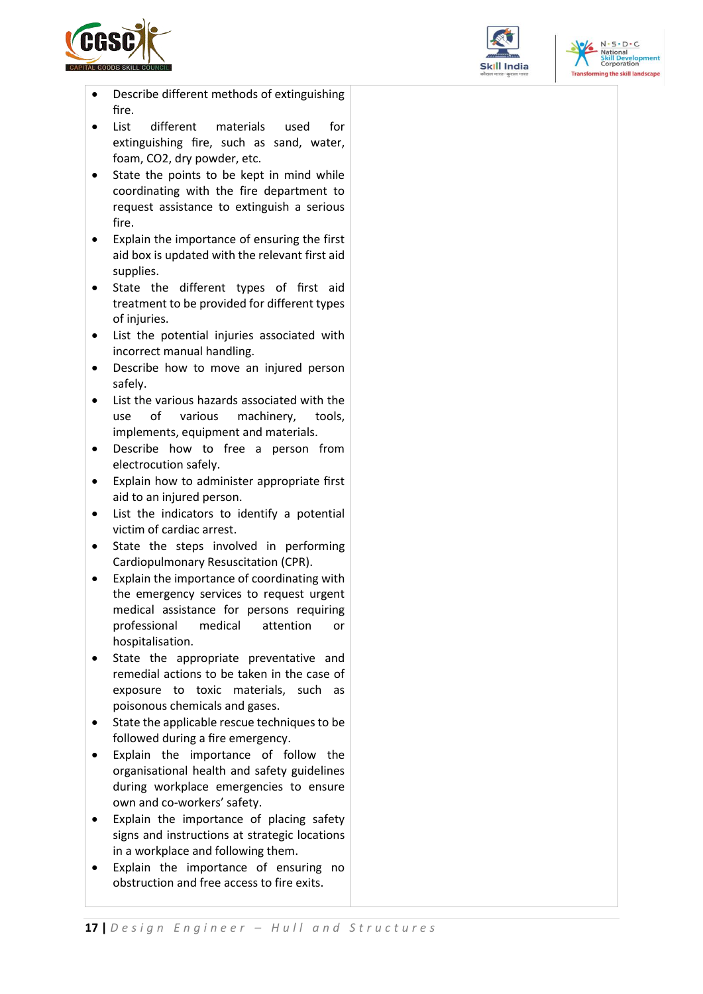





- Describe different methods of extinguishing fire.
- List different materials used for extinguishing fire, such as sand, water, foam, CO2, dry powder, etc.
- State the points to be kept in mind while coordinating with the fire department to request assistance to extinguish a serious fire.
- Explain the importance of ensuring the first aid box is updated with the relevant first aid supplies.
- State the different types of first aid treatment to be provided for different types of injuries.
- List the potential injuries associated with incorrect manual handling.
- Describe how to move an injured person safely.
- List the various hazards associated with the use of various machinery, tools, implements, equipment and materials.
- Describe how to free a person from electrocution safely.
- Explain how to administer appropriate first aid to an injured person.
- List the indicators to identify a potential victim of cardiac arrest.
- State the steps involved in performing Cardiopulmonary Resuscitation (CPR).
- Explain the importance of coordinating with the emergency services to request urgent medical assistance for persons requiring professional medical attention or hospitalisation.
- State the appropriate preventative and remedial actions to be taken in the case of exposure to toxic materials, such as poisonous chemicals and gases.
- State the applicable rescue techniques to be followed during a fire emergency.
- Explain the importance of follow the organisational health and safety guidelines during workplace emergencies to ensure own and co-workers' safety.
- Explain the importance of placing safety signs and instructions at strategic locations in a workplace and following them.
- Explain the importance of ensuring no obstruction and free access to fire exits.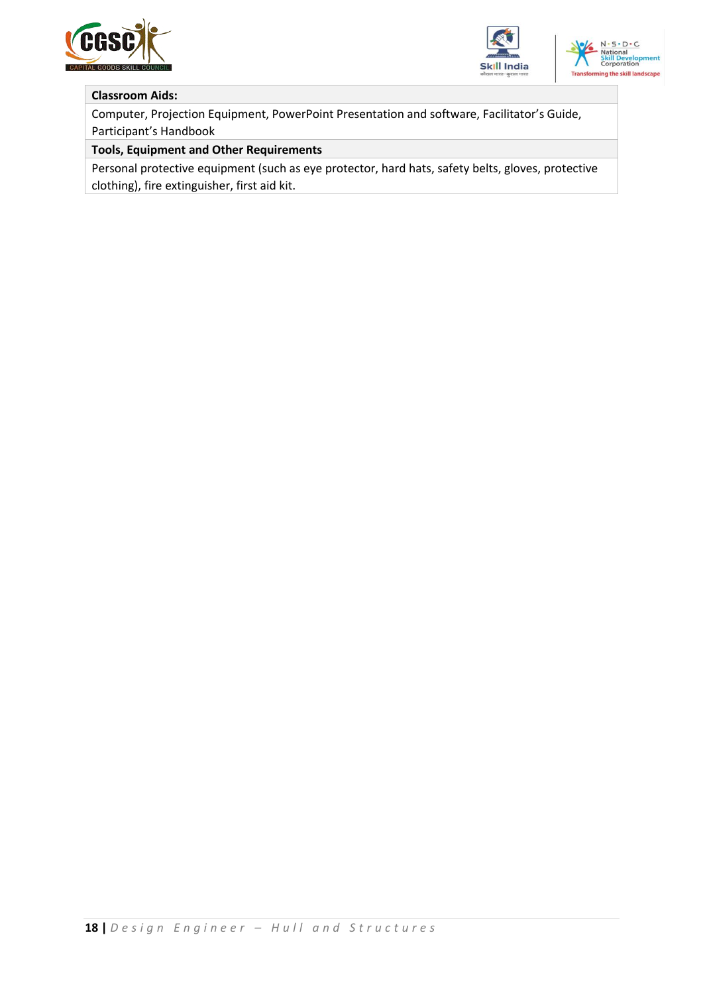





#### **Classroom Aids:**

Computer, Projection Equipment, PowerPoint Presentation and software, Facilitator's Guide, Participant's Handbook

#### **Tools, Equipment and Other Requirements**

Personal protective equipment (such as eye protector, hard hats, safety belts, gloves, protective clothing), fire extinguisher, first aid kit.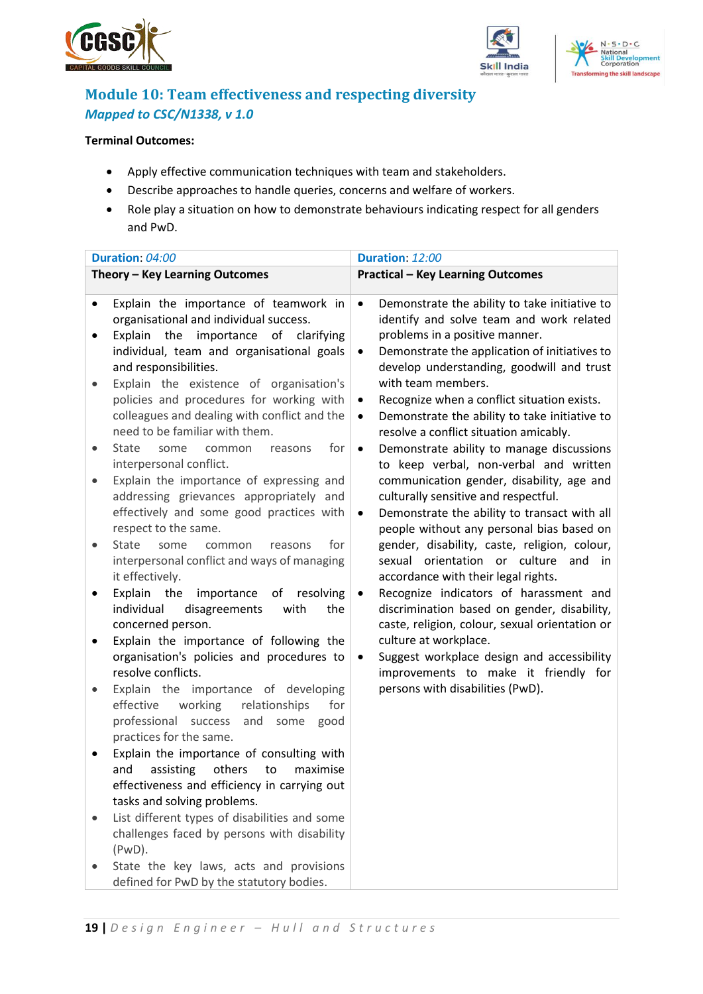





## <span id="page-18-0"></span>**Module 10: Team effectiveness and respecting diversity** *Mapped to CSC/N1338, v 1.0*

#### **Terminal Outcomes:**

- Apply effective communication techniques with team and stakeholders.
- Describe approaches to handle queries, concerns and welfare of workers.
- Role play a situation on how to demonstrate behaviours indicating respect for all genders and PwD.

|                        | Duration: 04:00                                                                                                                                                                                                                          |                        | Duration: 12:00                                                                                                                                                                                                                                 |
|------------------------|------------------------------------------------------------------------------------------------------------------------------------------------------------------------------------------------------------------------------------------|------------------------|-------------------------------------------------------------------------------------------------------------------------------------------------------------------------------------------------------------------------------------------------|
|                        | Theory - Key Learning Outcomes                                                                                                                                                                                                           |                        | <b>Practical - Key Learning Outcomes</b>                                                                                                                                                                                                        |
| $\bullet$              | Explain the importance of teamwork in<br>organisational and individual success.<br>Explain the importance of clarifying<br>individual, team and organisational goals<br>and responsibilities.<br>Explain the existence of organisation's | $\bullet$<br>٠         | Demonstrate the ability to take initiative to<br>identify and solve team and work related<br>problems in a positive manner.<br>Demonstrate the application of initiatives to<br>develop understanding, goodwill and trust<br>with team members. |
|                        | policies and procedures for working with<br>colleagues and dealing with conflict and the<br>need to be familiar with them.                                                                                                               | $\bullet$<br>$\bullet$ | Recognize when a conflict situation exists.<br>Demonstrate the ability to take initiative to<br>resolve a conflict situation amicably.                                                                                                          |
| $\bullet$<br>$\bullet$ | <b>State</b><br>for<br>some<br>common<br>reasons<br>interpersonal conflict.<br>Explain the importance of expressing and                                                                                                                  | $\bullet$              | Demonstrate ability to manage discussions<br>to keep verbal, non-verbal and written<br>communication gender, disability, age and                                                                                                                |
|                        | addressing grievances appropriately and<br>effectively and some good practices with<br>respect to the same.                                                                                                                              | $\bullet$              | culturally sensitive and respectful.<br>Demonstrate the ability to transact with all<br>people without any personal bias based on                                                                                                               |
|                        | <b>State</b><br>for<br>some<br>common<br>reasons<br>interpersonal conflict and ways of managing<br>it effectively.                                                                                                                       |                        | gender, disability, caste, religion, colour,<br>sexual orientation or culture<br>and<br>in<br>accordance with their legal rights.                                                                                                               |
|                        | Explain the<br>importance<br>of resolving<br>individual<br>disagreements<br>the<br>with<br>concerned person.                                                                                                                             | $\bullet$              | Recognize indicators of harassment and<br>discrimination based on gender, disability,<br>caste, religion, colour, sexual orientation or                                                                                                         |
|                        | Explain the importance of following the<br>organisation's policies and procedures to<br>resolve conflicts.                                                                                                                               | ٠                      | culture at workplace.<br>Suggest workplace design and accessibility<br>improvements to make it friendly for                                                                                                                                     |
|                        | Explain the importance of developing<br>effective<br>working<br>for<br>relationships<br>professional success<br>and<br>some<br>good<br>practices for the same.                                                                           |                        | persons with disabilities (PwD).                                                                                                                                                                                                                |
|                        | Explain the importance of consulting with<br>assisting<br>maximise<br>and<br>others<br>to<br>effectiveness and efficiency in carrying out<br>tasks and solving problems.                                                                 |                        |                                                                                                                                                                                                                                                 |
|                        | List different types of disabilities and some<br>challenges faced by persons with disability<br>$(PWD)$ .                                                                                                                                |                        |                                                                                                                                                                                                                                                 |
|                        | State the key laws, acts and provisions<br>defined for PwD by the statutory bodies.                                                                                                                                                      |                        |                                                                                                                                                                                                                                                 |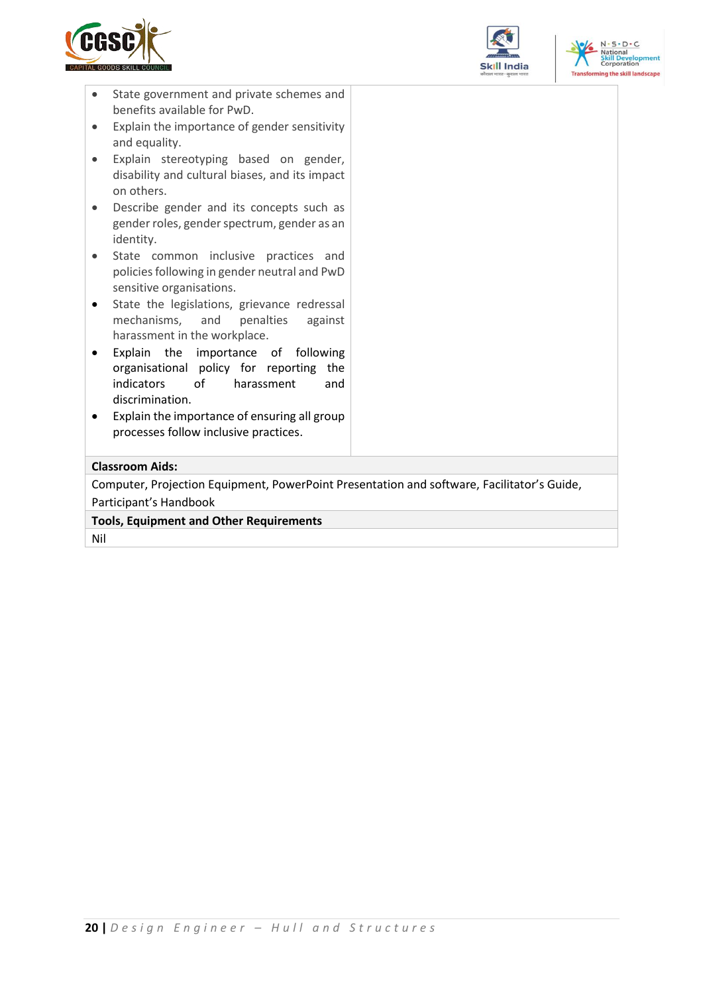





- State government and private schemes and benefits available for PwD.
- Explain the importance of gender sensitivity and equality.
- Explain stereotyping based on gender, disability and cultural biases, and its impact on others.
- Describe gender and its concepts such as gender roles, gender spectrum, gender as an identity.
- State common inclusive practices and policies following in gender neutral and PwD sensitive organisations.
- State the legislations, grievance redressal mechanisms, and penalties against harassment in the workplace.
- Explain the importance of following organisational policy for reporting the indicators of harassment and discrimination.
- Explain the importance of ensuring all group processes follow inclusive practices.

#### **Classroom Aids:**

Computer, Projection Equipment, PowerPoint Presentation and software, Facilitator's Guide, Participant's Handbook

**Tools, Equipment and Other Requirements** 

Nil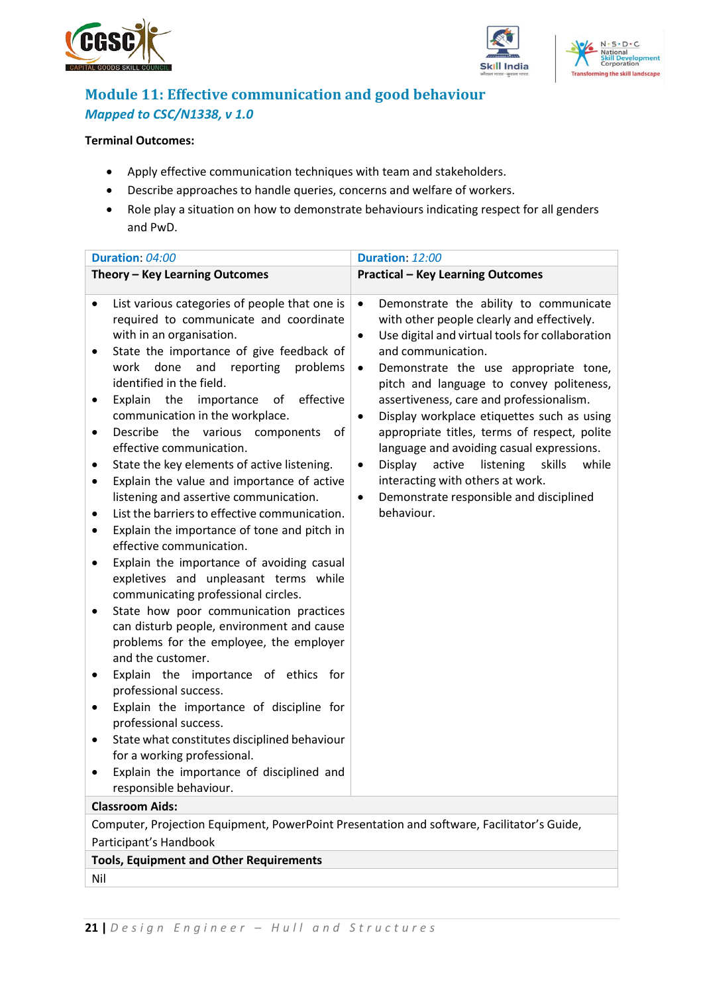





## <span id="page-20-0"></span>**Module 11: Effective communication and good behaviour** *Mapped to CSC/N1338, v 1.0*

#### **Terminal Outcomes:**

- Apply effective communication techniques with team and stakeholders.
- Describe approaches to handle queries, concerns and welfare of workers.
- Role play a situation on how to demonstrate behaviours indicating respect for all genders and PwD.

| Duration: 04:00                                                                                                                                                                                                                                                                                                                                                                                                                                                                                                                                                                                                                                                                                                                                                                                                                                                                                                                                                                                                                                                                                                                                                                                                                                                                  | Duration: 12:00                                                                                                                                                                                                                                                                                                                                                                                                                                                                                                                                                                                                                                                   |  |  |  |
|----------------------------------------------------------------------------------------------------------------------------------------------------------------------------------------------------------------------------------------------------------------------------------------------------------------------------------------------------------------------------------------------------------------------------------------------------------------------------------------------------------------------------------------------------------------------------------------------------------------------------------------------------------------------------------------------------------------------------------------------------------------------------------------------------------------------------------------------------------------------------------------------------------------------------------------------------------------------------------------------------------------------------------------------------------------------------------------------------------------------------------------------------------------------------------------------------------------------------------------------------------------------------------|-------------------------------------------------------------------------------------------------------------------------------------------------------------------------------------------------------------------------------------------------------------------------------------------------------------------------------------------------------------------------------------------------------------------------------------------------------------------------------------------------------------------------------------------------------------------------------------------------------------------------------------------------------------------|--|--|--|
| Theory - Key Learning Outcomes                                                                                                                                                                                                                                                                                                                                                                                                                                                                                                                                                                                                                                                                                                                                                                                                                                                                                                                                                                                                                                                                                                                                                                                                                                                   | <b>Practical - Key Learning Outcomes</b>                                                                                                                                                                                                                                                                                                                                                                                                                                                                                                                                                                                                                          |  |  |  |
| List various categories of people that one is<br>٠<br>required to communicate and coordinate<br>with in an organisation.<br>State the importance of give feedback of<br>done<br>and reporting<br>work<br>problems<br>identified in the field.<br>Explain the<br>importance<br>effective<br>of<br>communication in the workplace.<br>Describe<br>the<br>various<br>components<br>of<br>٠<br>effective communication.<br>State the key elements of active listening.<br>Explain the value and importance of active<br>٠<br>listening and assertive communication.<br>List the barriers to effective communication.<br>Explain the importance of tone and pitch in<br>effective communication.<br>Explain the importance of avoiding casual<br>expletives and unpleasant terms while<br>communicating professional circles.<br>State how poor communication practices<br>٠<br>can disturb people, environment and cause<br>problems for the employee, the employer<br>and the customer.<br>Explain the importance of ethics for<br>professional success.<br>Explain the importance of discipline for<br>professional success.<br>State what constitutes disciplined behaviour<br>for a working professional.<br>Explain the importance of disciplined and<br>responsible behaviour. | Demonstrate the ability to communicate<br>$\bullet$<br>with other people clearly and effectively.<br>Use digital and virtual tools for collaboration<br>$\bullet$<br>and communication.<br>Demonstrate the use appropriate tone,<br>٠<br>pitch and language to convey politeness,<br>assertiveness, care and professionalism.<br>Display workplace etiquettes such as using<br>$\bullet$<br>appropriate titles, terms of respect, polite<br>language and avoiding casual expressions.<br>Display<br>skills<br>active<br>listening<br>while<br>$\bullet$<br>interacting with others at work.<br>Demonstrate responsible and disciplined<br>$\bullet$<br>behaviour. |  |  |  |
| <b>Classroom Aids:</b>                                                                                                                                                                                                                                                                                                                                                                                                                                                                                                                                                                                                                                                                                                                                                                                                                                                                                                                                                                                                                                                                                                                                                                                                                                                           |                                                                                                                                                                                                                                                                                                                                                                                                                                                                                                                                                                                                                                                                   |  |  |  |
| Computer, Projection Equipment, PowerPoint Presentation and software, Facilitator's Guide,                                                                                                                                                                                                                                                                                                                                                                                                                                                                                                                                                                                                                                                                                                                                                                                                                                                                                                                                                                                                                                                                                                                                                                                       |                                                                                                                                                                                                                                                                                                                                                                                                                                                                                                                                                                                                                                                                   |  |  |  |
| Participant's Handbook                                                                                                                                                                                                                                                                                                                                                                                                                                                                                                                                                                                                                                                                                                                                                                                                                                                                                                                                                                                                                                                                                                                                                                                                                                                           |                                                                                                                                                                                                                                                                                                                                                                                                                                                                                                                                                                                                                                                                   |  |  |  |
| <b>Tools, Equipment and Other Requirements</b>                                                                                                                                                                                                                                                                                                                                                                                                                                                                                                                                                                                                                                                                                                                                                                                                                                                                                                                                                                                                                                                                                                                                                                                                                                   |                                                                                                                                                                                                                                                                                                                                                                                                                                                                                                                                                                                                                                                                   |  |  |  |
| Nil                                                                                                                                                                                                                                                                                                                                                                                                                                                                                                                                                                                                                                                                                                                                                                                                                                                                                                                                                                                                                                                                                                                                                                                                                                                                              |                                                                                                                                                                                                                                                                                                                                                                                                                                                                                                                                                                                                                                                                   |  |  |  |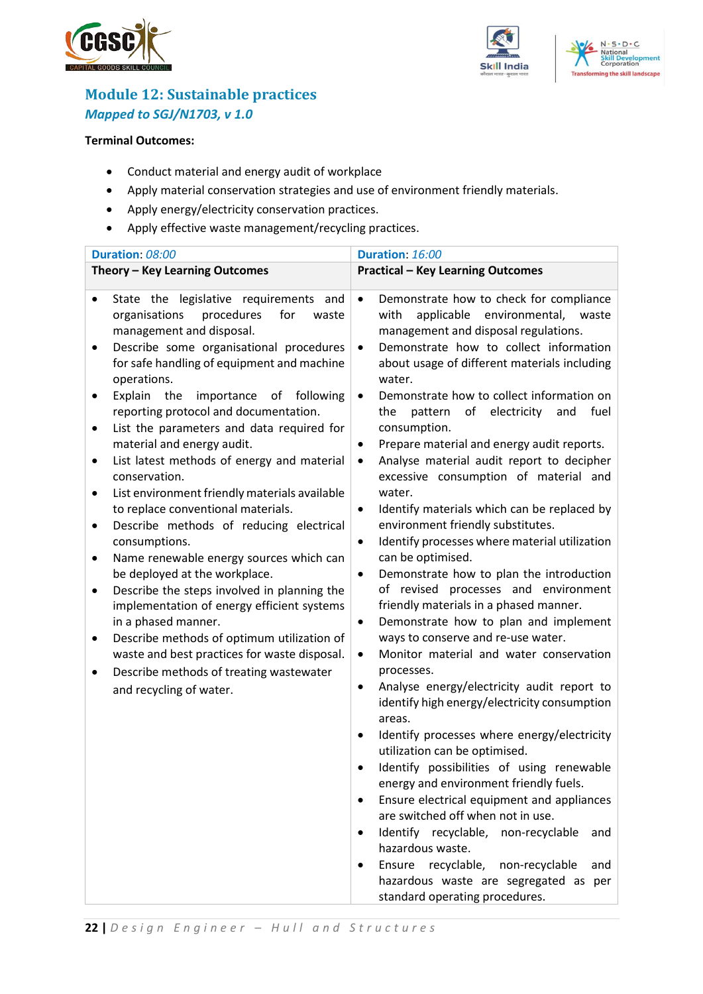





## <span id="page-21-0"></span>**Module 12: Sustainable practices** *Mapped to SGJ/N1703, v 1.0*

#### **Terminal Outcomes:**

- Conduct material and energy audit of workplace
- Apply material conservation strategies and use of environment friendly materials.
- Apply energy/electricity conservation practices.
- Apply effective waste management/recycling practices.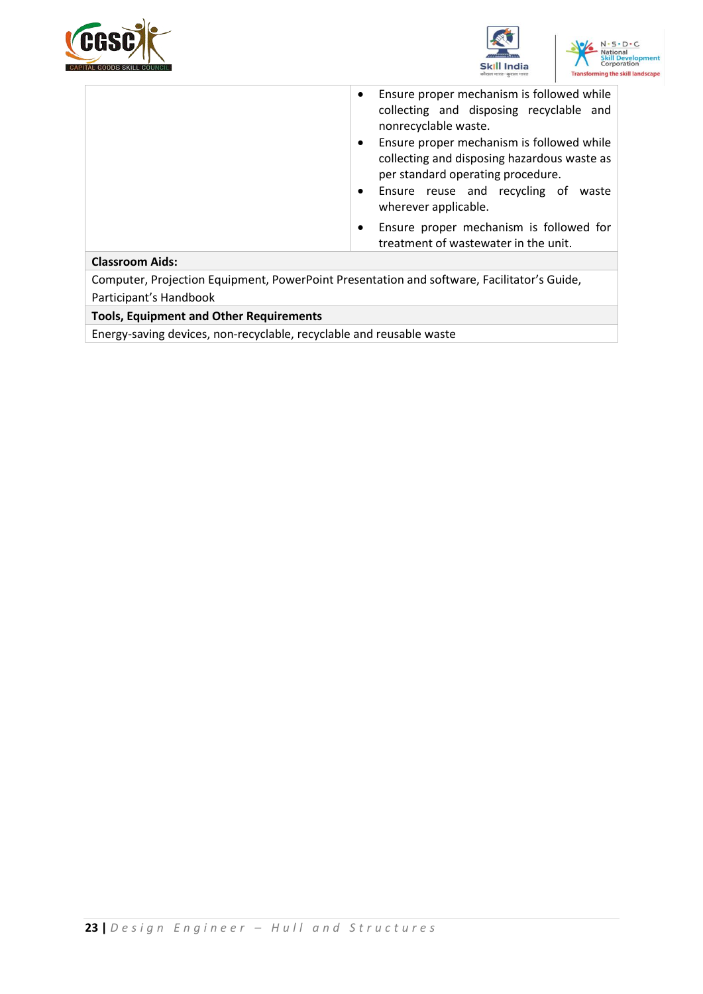





|                                                                                            | Ensure proper mechanism is followed while<br>$\bullet$<br>collecting and disposing recyclable and<br>nonrecyclable waste.<br>Ensure proper mechanism is followed while<br>$\bullet$<br>collecting and disposing hazardous waste as<br>per standard operating procedure.<br>Ensure reuse and recycling of waste<br>$\bullet$<br>wherever applicable. |  |  |  |
|--------------------------------------------------------------------------------------------|-----------------------------------------------------------------------------------------------------------------------------------------------------------------------------------------------------------------------------------------------------------------------------------------------------------------------------------------------------|--|--|--|
|                                                                                            | Ensure proper mechanism is followed for<br>$\bullet$<br>treatment of wastewater in the unit.                                                                                                                                                                                                                                                        |  |  |  |
| <b>Classroom Aids:</b>                                                                     |                                                                                                                                                                                                                                                                                                                                                     |  |  |  |
| Computer, Projection Equipment, PowerPoint Presentation and software, Facilitator's Guide, |                                                                                                                                                                                                                                                                                                                                                     |  |  |  |
|                                                                                            |                                                                                                                                                                                                                                                                                                                                                     |  |  |  |

Participant's Handbook

**Tools, Equipment and Other Requirements** 

Energy-saving devices, non-recyclable, recyclable and reusable waste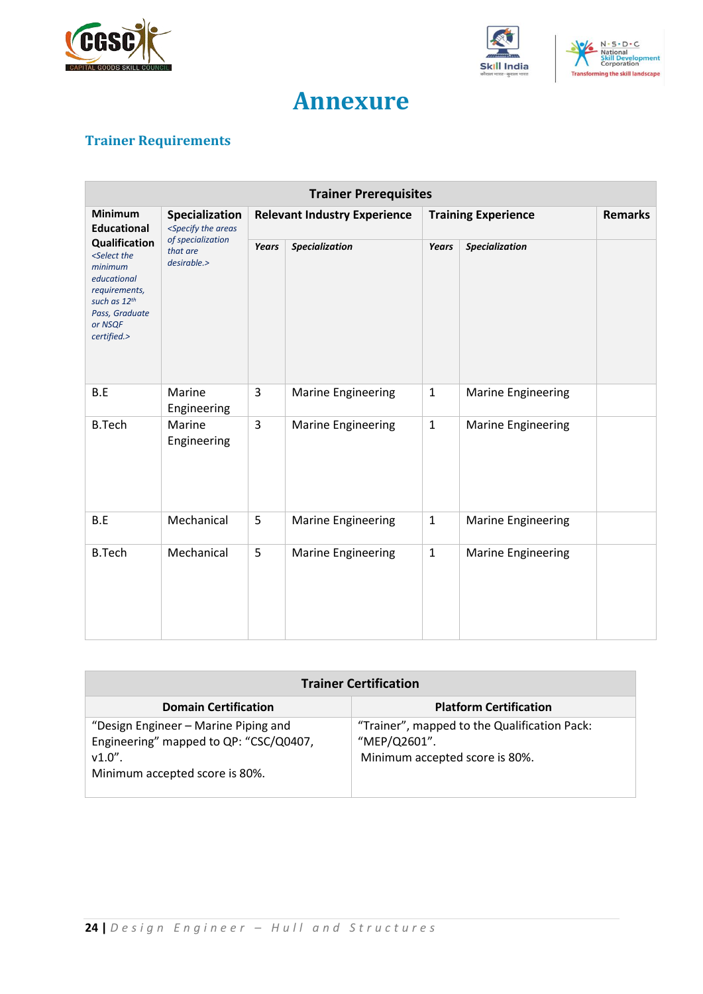





## **Annexure**

## <span id="page-23-1"></span><span id="page-23-0"></span>**Trainer Requirements**

| <b>Trainer Prerequisites</b>                                                                                                                             |                                                                                                                                                                                            |                                     |                           |                            |                           |                |
|----------------------------------------------------------------------------------------------------------------------------------------------------------|--------------------------------------------------------------------------------------------------------------------------------------------------------------------------------------------|-------------------------------------|---------------------------|----------------------------|---------------------------|----------------|
| <b>Minimum</b><br><b>Educational</b>                                                                                                                     | Specialization<br><specify areas<="" th="" the=""><th colspan="2"><b>Relevant Industry Experience</b></th><th colspan="2"><b>Training Experience</b></th><th><b>Remarks</b></th></specify> | <b>Relevant Industry Experience</b> |                           | <b>Training Experience</b> |                           | <b>Remarks</b> |
| Qualification<br><select the<br="">minimum<br/>educational<br/>requirements,<br/>such as 12th<br/>Pass, Graduate<br/>or NSQF<br/>certified.&gt;</select> | of specialization<br>that are<br>desirable.>                                                                                                                                               | <b>Years</b>                        | Specialization            | Years                      | <b>Specialization</b>     |                |
| B.E                                                                                                                                                      | Marine<br>Engineering                                                                                                                                                                      | $\overline{3}$                      | <b>Marine Engineering</b> | $\mathbf{1}$               | Marine Engineering        |                |
| <b>B.Tech</b>                                                                                                                                            | Marine<br>Engineering                                                                                                                                                                      | 3                                   | <b>Marine Engineering</b> | $\mathbf{1}$               | <b>Marine Engineering</b> |                |
| B.E                                                                                                                                                      | Mechanical                                                                                                                                                                                 | 5                                   | <b>Marine Engineering</b> | $1\,$                      | <b>Marine Engineering</b> |                |
| <b>B.Tech</b>                                                                                                                                            | Mechanical                                                                                                                                                                                 | 5                                   | <b>Marine Engineering</b> | $\mathbf{1}$               | Marine Engineering        |                |

| <b>Trainer Certification</b>                                                                                                  |                                                                                                |  |  |  |
|-------------------------------------------------------------------------------------------------------------------------------|------------------------------------------------------------------------------------------------|--|--|--|
| <b>Domain Certification</b>                                                                                                   | <b>Platform Certification</b>                                                                  |  |  |  |
| "Design Engineer - Marine Piping and<br>Engineering" mapped to QP: "CSC/Q0407,<br>$v1.0"$ .<br>Minimum accepted score is 80%. | "Trainer", mapped to the Qualification Pack:<br>"MEP/Q2601".<br>Minimum accepted score is 80%. |  |  |  |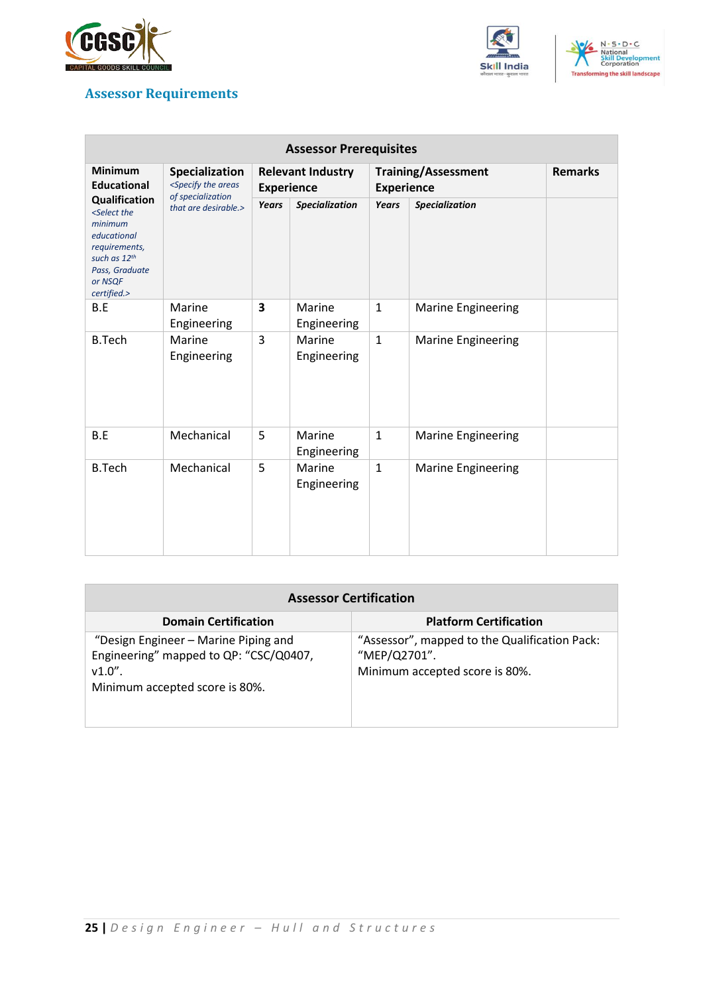





### <span id="page-24-0"></span>**Assessor Requirements**

| <b>Assessor Prerequisites</b>                                                                                                                                   |                                                                                                                                                                                                                                    |                                               |                       |                                                 |                           |                |
|-----------------------------------------------------------------------------------------------------------------------------------------------------------------|------------------------------------------------------------------------------------------------------------------------------------------------------------------------------------------------------------------------------------|-----------------------------------------------|-----------------------|-------------------------------------------------|---------------------------|----------------|
| <b>Minimum</b><br><b>Educational</b>                                                                                                                            | <b>Specialization</b><br><specify areas<="" th="" the=""><th colspan="2"><b>Relevant Industry</b><br/><b>Experience</b></th><th colspan="2"><b>Training/Assessment</b><br/><b>Experience</b></th><th><b>Remarks</b></th></specify> | <b>Relevant Industry</b><br><b>Experience</b> |                       | <b>Training/Assessment</b><br><b>Experience</b> |                           | <b>Remarks</b> |
| <b>Qualification</b><br><select the<br="">minimum<br/>educational<br/>requirements,<br/>such as 12th<br/>Pass, Graduate<br/>or NSQF<br/>certified.&gt;</select> | of specialization<br>that are desirable.>                                                                                                                                                                                          | Years                                         | Specialization        | Years                                           | Specialization            |                |
| B.E                                                                                                                                                             | Marine<br>Engineering                                                                                                                                                                                                              | 3                                             | Marine<br>Engineering | $\mathbf{1}$                                    | <b>Marine Engineering</b> |                |
| <b>B.Tech</b>                                                                                                                                                   | Marine<br>Engineering                                                                                                                                                                                                              | 3                                             | Marine<br>Engineering | $\mathbf{1}$                                    | <b>Marine Engineering</b> |                |
| B.E                                                                                                                                                             | Mechanical                                                                                                                                                                                                                         | 5                                             | Marine<br>Engineering | $\mathbf{1}$                                    | <b>Marine Engineering</b> |                |
| <b>B.Tech</b>                                                                                                                                                   | Mechanical                                                                                                                                                                                                                         | 5                                             | Marine<br>Engineering | $\mathbf{1}$                                    | <b>Marine Engineering</b> |                |

| <b>Assessor Certification</b>                                                                                                 |                                                                                                 |  |  |  |
|-------------------------------------------------------------------------------------------------------------------------------|-------------------------------------------------------------------------------------------------|--|--|--|
| <b>Domain Certification</b>                                                                                                   | <b>Platform Certification</b>                                                                   |  |  |  |
| "Design Engineer - Marine Piping and<br>Engineering" mapped to QP: "CSC/Q0407,<br>$v1.0"$ .<br>Minimum accepted score is 80%. | "Assessor", mapped to the Qualification Pack:<br>"MEP/Q2701".<br>Minimum accepted score is 80%. |  |  |  |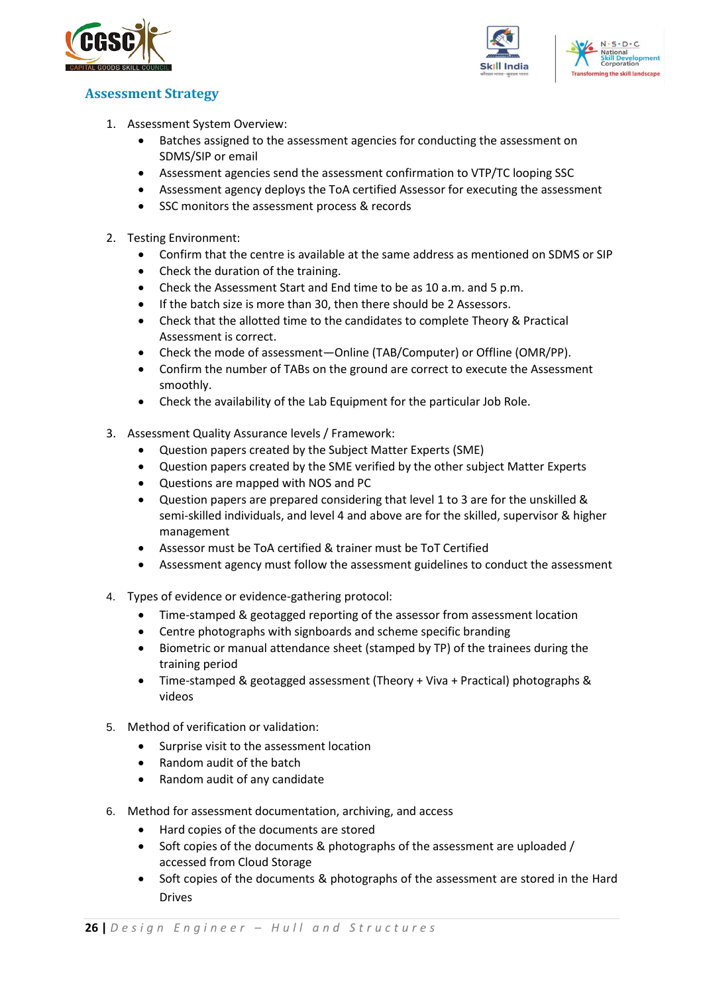



#### <span id="page-25-0"></span>**Assessment Strategy**

- 1. Assessment System Overview:
	- Batches assigned to the assessment agencies for conducting the assessment on SDMS/SIP or email
	- Assessment agencies send the assessment confirmation to VTP/TC looping SSC
	- Assessment agency deploys the ToA certified Assessor for executing the assessment
	- SSC monitors the assessment process & records
- 2. Testing Environment:
	- Confirm that the centre is available at the same address as mentioned on SDMS or SIP
	- Check the duration of the training.
	- Check the Assessment Start and End time to be as 10 a.m. and 5 p.m.
	- If the batch size is more than 30, then there should be 2 Assessors.
	- Check that the allotted time to the candidates to complete Theory & Practical Assessment is correct.
	- Check the mode of assessment—Online (TAB/Computer) or Offline (OMR/PP).
	- Confirm the number of TABs on the ground are correct to execute the Assessment smoothly.
	- Check the availability of the Lab Equipment for the particular Job Role.
- 3. Assessment Quality Assurance levels / Framework:
	- Question papers created by the Subject Matter Experts (SME)
	- Question papers created by the SME verified by the other subject Matter Experts
	- Questions are mapped with NOS and PC
	- Question papers are prepared considering that level 1 to 3 are for the unskilled & semi-skilled individuals, and level 4 and above are for the skilled, supervisor & higher management
	- Assessor must be ToA certified & trainer must be ToT Certified
	- Assessment agency must follow the assessment guidelines to conduct the assessment
- 4. Types of evidence or evidence-gathering protocol:
	- Time-stamped & geotagged reporting of the assessor from assessment location
	- Centre photographs with signboards and scheme specific branding
	- Biometric or manual attendance sheet (stamped by TP) of the trainees during the training period
	- Time-stamped & geotagged assessment (Theory + Viva + Practical) photographs & videos
- 5. Method of verification or validation:
	- Surprise visit to the assessment location
	- Random audit of the batch
	- Random audit of any candidate
- 6. Method for assessment documentation, archiving, and access
	- Hard copies of the documents are stored
	- Soft copies of the documents & photographs of the assessment are uploaded / accessed from Cloud Storage
	- Soft copies of the documents & photographs of the assessment are stored in the Hard Drives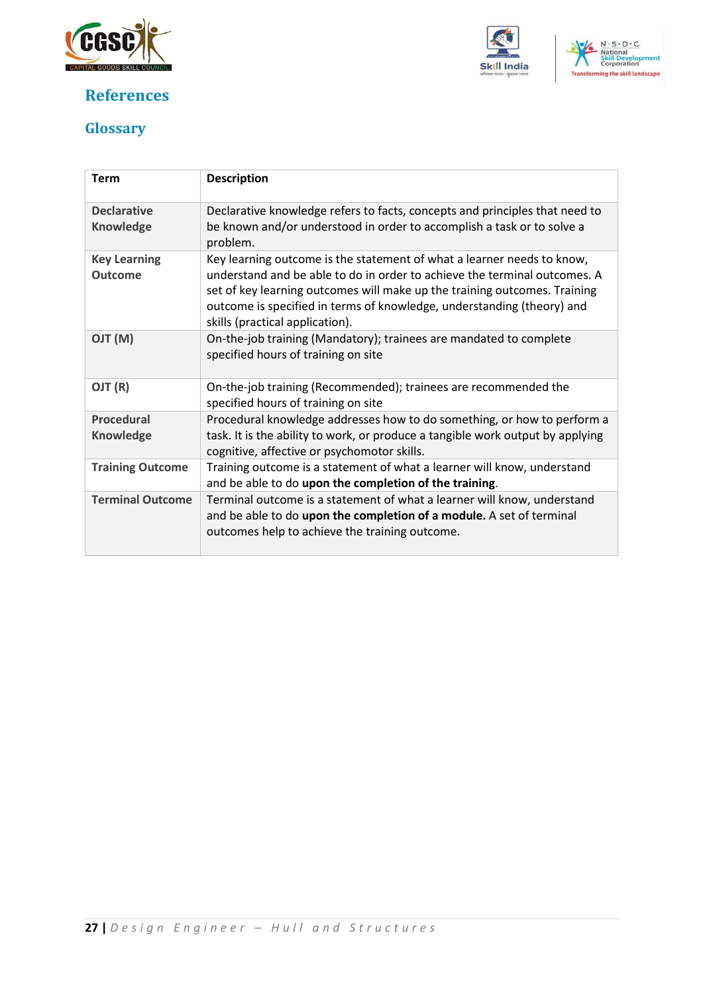

## **References**





## <span id="page-26-0"></span>**Glossary**

| <b>Term</b>                           | <b>Description</b>                                                                                                                                                                                                                                                                                                                            |
|---------------------------------------|-----------------------------------------------------------------------------------------------------------------------------------------------------------------------------------------------------------------------------------------------------------------------------------------------------------------------------------------------|
| <b>Declarative</b><br>Knowledge       | Declarative knowledge refers to facts, concepts and principles that need to<br>be known and/or understood in order to accomplish a task or to solve a<br>problem.                                                                                                                                                                             |
| <b>Key Learning</b><br><b>Outcome</b> | Key learning outcome is the statement of what a learner needs to know,<br>understand and be able to do in order to achieve the terminal outcomes. A<br>set of key learning outcomes will make up the training outcomes. Training<br>outcome is specified in terms of knowledge, understanding (theory) and<br>skills (practical application). |
| (M) TLO                               | On-the-job training (Mandatory); trainees are mandated to complete<br>specified hours of training on site                                                                                                                                                                                                                                     |
| OJT (R)                               | On-the-job training (Recommended); trainees are recommended the<br>specified hours of training on site                                                                                                                                                                                                                                        |
| <b>Procedural</b><br>Knowledge        | Procedural knowledge addresses how to do something, or how to perform a<br>task. It is the ability to work, or produce a tangible work output by applying<br>cognitive, affective or psychomotor skills.                                                                                                                                      |
| <b>Training Outcome</b>               | Training outcome is a statement of what a learner will know, understand<br>and be able to do upon the completion of the training.                                                                                                                                                                                                             |
| <b>Terminal Outcome</b>               | Terminal outcome is a statement of what a learner will know, understand<br>and be able to do upon the completion of a module. A set of terminal<br>outcomes help to achieve the training outcome.                                                                                                                                             |